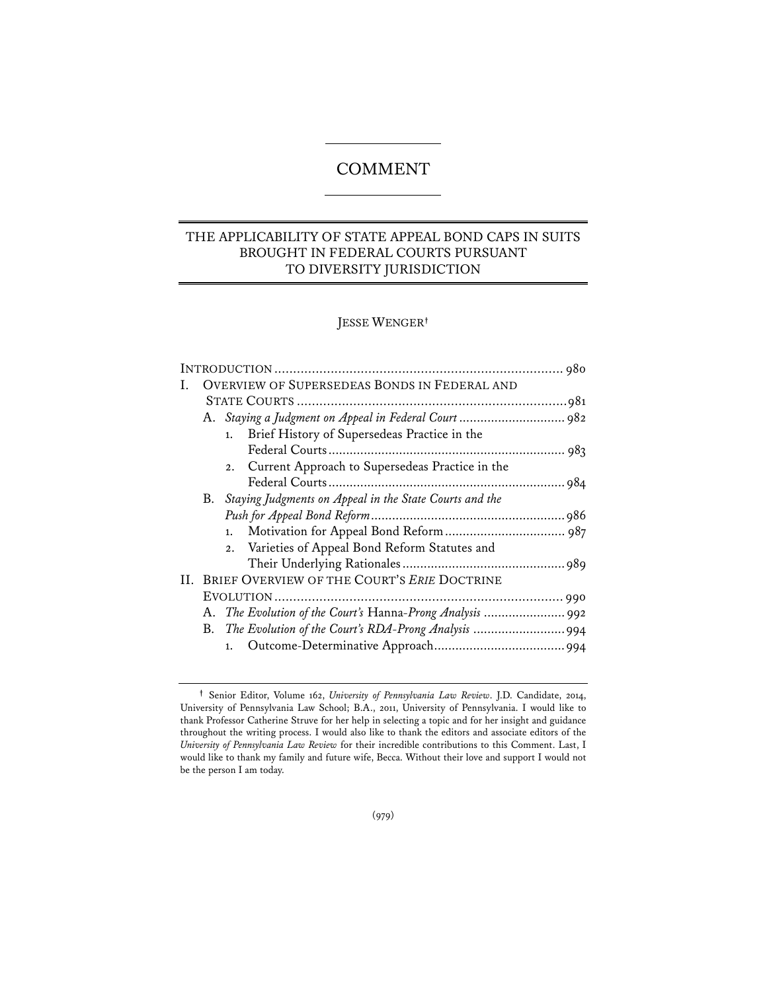# COMMENT

# THE APPLICABILITY OF STATE APPEAL BOND CAPS IN SUITS BROUGHT IN FEDERAL COURTS PURSUANT TO DIVERSITY JURISDICTION

# JESSE WENGER**†**

|  | <b>OVERVIEW OF SUPERSEDEAS BONDS IN FEDERAL AND</b> |                                                            |  |
|--|-----------------------------------------------------|------------------------------------------------------------|--|
|  |                                                     |                                                            |  |
|  |                                                     |                                                            |  |
|  |                                                     | Brief History of Supersedeas Practice in the<br>1.         |  |
|  |                                                     |                                                            |  |
|  |                                                     | 2. Current Approach to Supersedeas Practice in the         |  |
|  |                                                     |                                                            |  |
|  |                                                     | B. Staying Judgments on Appeal in the State Courts and the |  |
|  |                                                     |                                                            |  |
|  |                                                     | 1.                                                         |  |
|  |                                                     | 2. Varieties of Appeal Bond Reform Statutes and            |  |
|  |                                                     |                                                            |  |
|  | II. BRIEF OVERVIEW OF THE COURT'S ERIE DOCTRINE     |                                                            |  |
|  |                                                     |                                                            |  |
|  |                                                     | A. The Evolution of the Court's Hanna-Prong Analysis  992  |  |
|  |                                                     |                                                            |  |
|  |                                                     | 1.                                                         |  |
|  |                                                     |                                                            |  |

**<sup>†</sup>** Senior Editor, Volume 162, *University of Pennsylvania Law Review*. J.D. Candidate, 2014, University of Pennsylvania Law School; B.A., 2011, University of Pennsylvania. I would like to thank Professor Catherine Struve for her help in selecting a topic and for her insight and guidance throughout the writing process. I would also like to thank the editors and associate editors of the *University of Pennsylvania Law Review* for their incredible contributions to this Comment. Last, I would like to thank my family and future wife, Becca. Without their love and support I would not be the person I am today.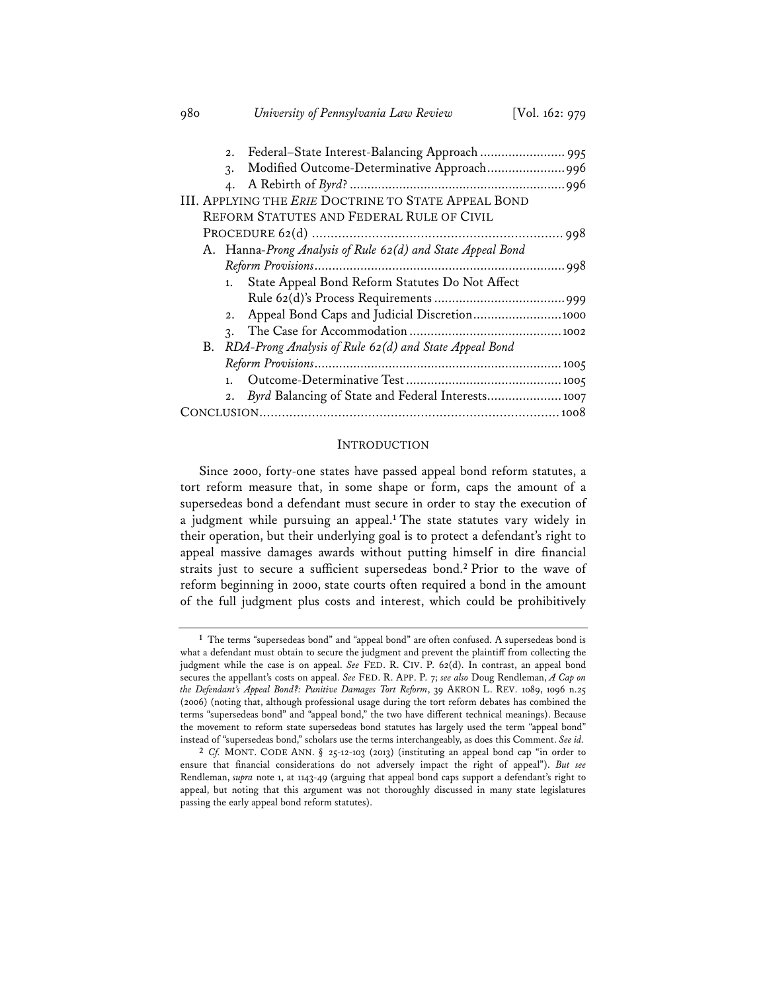| Federal-State Interest-Balancing Approach  995<br>2.        |
|-------------------------------------------------------------|
| Modified Outcome-Determinative Approach996<br>3.            |
| $\boldsymbol{4}$ .                                          |
| <b>III. APPLYING THE ERIE DOCTRINE TO STATE APPEAL BOND</b> |
| REFORM STATUTES AND FEDERAL RULE OF CIVIL                   |
|                                                             |
| A. Hanna-Prong Analysis of Rule 62(d) and State Appeal Bond |
|                                                             |
| State Appeal Bond Reform Statutes Do Not Affect<br>1.       |
|                                                             |
| Appeal Bond Caps and Judicial Discretion 1000<br>2.         |
| $\mathcal{R}$ .                                             |
| B. RDA-Prong Analysis of Rule 62(d) and State Appeal Bond   |
|                                                             |
| 1.                                                          |
| Byrd Balancing of State and Federal Interests 1007<br>2.    |
|                                                             |

980 *University of Pennsylvania Law Review* [Vol. 162: 979

#### **INTRODUCTION**

Since 2000, forty-one states have passed appeal bond reform statutes, a tort reform measure that, in some shape or form, caps the amount of a supersedeas bond a defendant must secure in order to stay the execution of a judgment while pursuing an appeal.**<sup>1</sup>** The state statutes vary widely in their operation, but their underlying goal is to protect a defendant's right to appeal massive damages awards without putting himself in dire financial straits just to secure a sufficient supersedeas bond.**<sup>2</sup>** Prior to the wave of reform beginning in 2000, state courts often required a bond in the amount of the full judgment plus costs and interest, which could be prohibitively

**<sup>1</sup>** The terms "supersedeas bond" and "appeal bond" are often confused. A supersedeas bond is what a defendant must obtain to secure the judgment and prevent the plaintiff from collecting the judgment while the case is on appeal. *See* FED. R. CIV. P. 62(d). In contrast, an appeal bond secures the appellant's costs on appeal. *See* FED. R. APP. P. 7; *see also* Doug Rendleman, *A Cap on the Defendant's Appeal Bond?: Punitive Damages Tort Reform*, 39 AKRON L. REV. 1089, 1096 n.25 (2006) (noting that, although professional usage during the tort reform debates has combined the terms "supersedeas bond" and "appeal bond," the two have different technical meanings). Because the movement to reform state supersedeas bond statutes has largely used the term "appeal bond" instead of "supersedeas bond," scholars use the terms interchangeably, as does this Comment. *See id.*

**<sup>2</sup>** *Cf.* MONT. CODE ANN. § 25-12-103 (2013) (instituting an appeal bond cap "in order to ensure that financial considerations do not adversely impact the right of appeal"). *But see* Rendleman, *supra* note 1, at 1143-49 (arguing that appeal bond caps support a defendant's right to appeal, but noting that this argument was not thoroughly discussed in many state legislatures passing the early appeal bond reform statutes).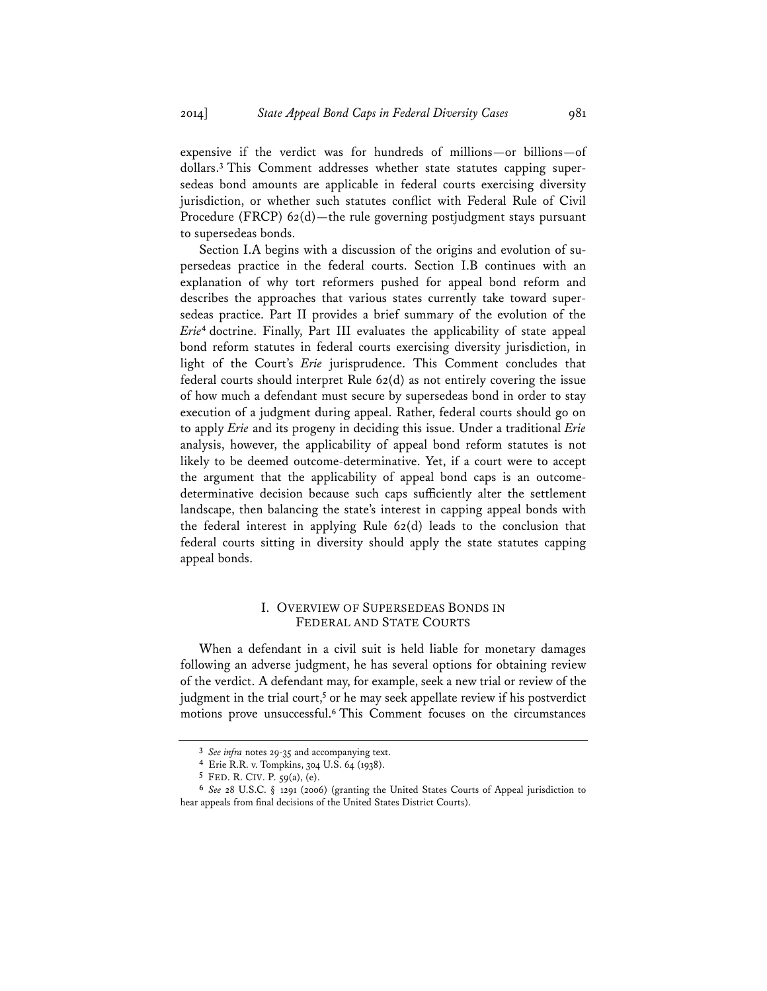expensive if the verdict was for hundreds of millions—or billions—of dollars.**<sup>3</sup>** This Comment addresses whether state statutes capping supersedeas bond amounts are applicable in federal courts exercising diversity jurisdiction, or whether such statutes conflict with Federal Rule of Civil Procedure (FRCP) 62(d)—the rule governing postjudgment stays pursuant to supersedeas bonds.

Section I.A begins with a discussion of the origins and evolution of supersedeas practice in the federal courts. Section I.B continues with an explanation of why tort reformers pushed for appeal bond reform and describes the approaches that various states currently take toward supersedeas practice. Part II provides a brief summary of the evolution of the *Erie***<sup>4</sup>** doctrine. Finally, Part III evaluates the applicability of state appeal bond reform statutes in federal courts exercising diversity jurisdiction, in light of the Court's *Erie* jurisprudence. This Comment concludes that federal courts should interpret Rule 62(d) as not entirely covering the issue of how much a defendant must secure by supersedeas bond in order to stay execution of a judgment during appeal. Rather, federal courts should go on to apply *Erie* and its progeny in deciding this issue. Under a traditional *Erie* analysis, however, the applicability of appeal bond reform statutes is not likely to be deemed outcome-determinative. Yet, if a court were to accept the argument that the applicability of appeal bond caps is an outcomedeterminative decision because such caps sufficiently alter the settlement landscape, then balancing the state's interest in capping appeal bonds with the federal interest in applying Rule  $62(d)$  leads to the conclusion that federal courts sitting in diversity should apply the state statutes capping appeal bonds.

# I. OVERVIEW OF SUPERSEDEAS BONDS IN FEDERAL AND STATE COURTS

When a defendant in a civil suit is held liable for monetary damages following an adverse judgment, he has several options for obtaining review of the verdict. A defendant may, for example, seek a new trial or review of the judgment in the trial court,**<sup>5</sup>** or he may seek appellate review if his postverdict motions prove unsuccessful.**<sup>6</sup>** This Comment focuses on the circumstances

**<sup>3</sup>** *See infra* notes 29-35 and accompanying text. **4** Erie R.R. v. Tompkins, 304 U.S. 64 (1938).

**<sup>5</sup>** FED. R. CIV. P. 59(a), (e).

**<sup>6</sup>** *See* 28 U.S.C. § 1291 (2006) (granting the United States Courts of Appeal jurisdiction to hear appeals from final decisions of the United States District Courts).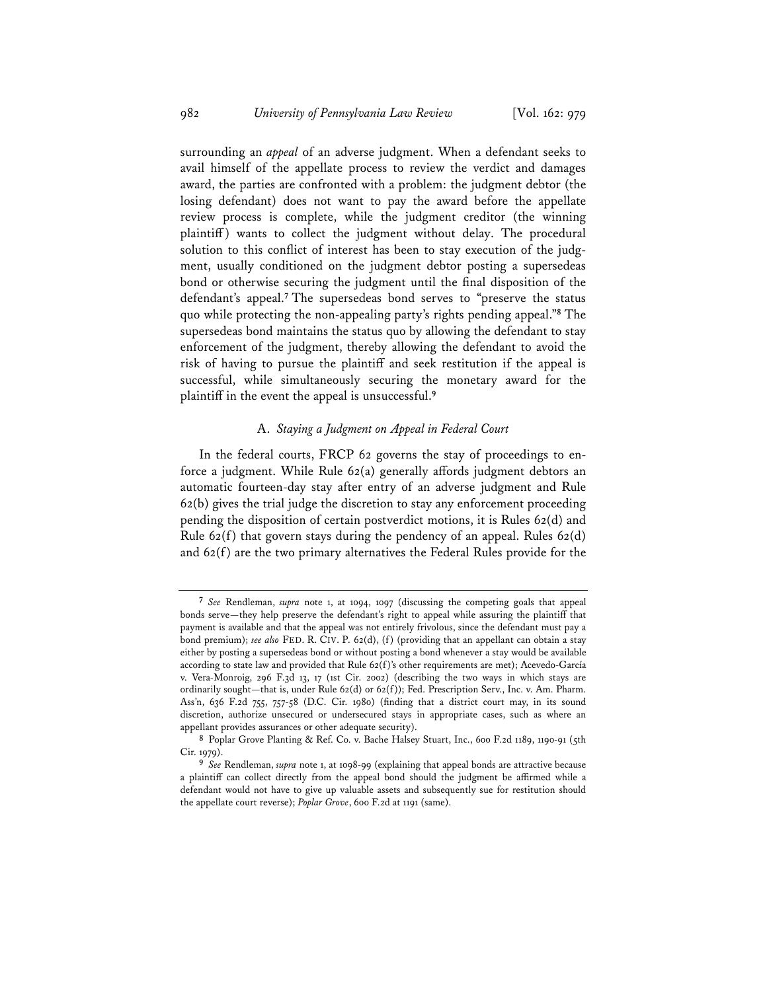surrounding an *appeal* of an adverse judgment. When a defendant seeks to avail himself of the appellate process to review the verdict and damages award, the parties are confronted with a problem: the judgment debtor (the losing defendant) does not want to pay the award before the appellate review process is complete, while the judgment creditor (the winning plaintiff ) wants to collect the judgment without delay. The procedural solution to this conflict of interest has been to stay execution of the judgment, usually conditioned on the judgment debtor posting a supersedeas bond or otherwise securing the judgment until the final disposition of the defendant's appeal.**<sup>7</sup>** The supersedeas bond serves to "preserve the status quo while protecting the non-appealing party's rights pending appeal."**<sup>8</sup>** The supersedeas bond maintains the status quo by allowing the defendant to stay enforcement of the judgment, thereby allowing the defendant to avoid the risk of having to pursue the plaintiff and seek restitution if the appeal is successful, while simultaneously securing the monetary award for the plaintiff in the event the appeal is unsuccessful.**<sup>9</sup>**

#### A. *Staying a Judgment on Appeal in Federal Court*

In the federal courts, FRCP 62 governs the stay of proceedings to enforce a judgment. While Rule 62(a) generally affords judgment debtors an automatic fourteen-day stay after entry of an adverse judgment and Rule 62(b) gives the trial judge the discretion to stay any enforcement proceeding pending the disposition of certain postverdict motions, it is Rules 62(d) and Rule 62(f) that govern stays during the pendency of an appeal. Rules 62(d) and 62(f) are the two primary alternatives the Federal Rules provide for the

**<sup>7</sup>** *See* Rendleman, *supra* note 1, at 1094, 1097 (discussing the competing goals that appeal bonds serve—they help preserve the defendant's right to appeal while assuring the plaintiff that payment is available and that the appeal was not entirely frivolous, since the defendant must pay a bond premium); *see also* FED. R. CIV. P. 62(d), (f) (providing that an appellant can obtain a stay either by posting a supersedeas bond or without posting a bond whenever a stay would be available according to state law and provided that Rule 62(f)'s other requirements are met); Acevedo-García v. Vera-Monroig, 296 F.3d 13, 17 (1st Cir. 2002) (describing the two ways in which stays are ordinarily sought—that is, under Rule 62(d) or 62(f)); Fed. Prescription Serv., Inc. v. Am. Pharm. Ass'n, 636 F.2d 755, 757-58 (D.C. Cir. 1980) (finding that a district court may, in its sound discretion, authorize unsecured or undersecured stays in appropriate cases, such as where an appellant provides assurances or other adequate security).

**<sup>8</sup>** Poplar Grove Planting & Ref. Co. v. Bache Halsey Stuart, Inc., 600 F.2d 1189, 1190-91 (5th Cir. 1979).

**<sup>9</sup>** *See* Rendleman, *supra* note 1, at 1098-99 (explaining that appeal bonds are attractive because a plaintiff can collect directly from the appeal bond should the judgment be affirmed while a defendant would not have to give up valuable assets and subsequently sue for restitution should the appellate court reverse); *Poplar Grove*, 600 F.2d at 1191 (same).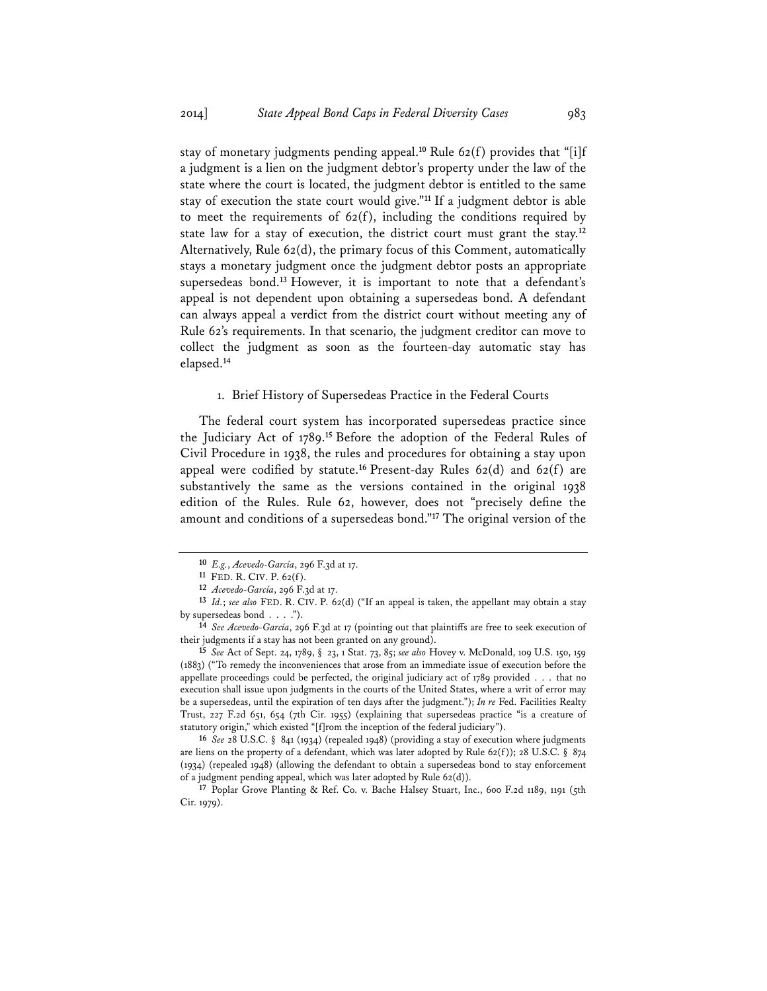stay of monetary judgments pending appeal.**<sup>10</sup>** Rule 62(f) provides that "[i]f a judgment is a lien on the judgment debtor's property under the law of the state where the court is located, the judgment debtor is entitled to the same stay of execution the state court would give."**<sup>11</sup>** If a judgment debtor is able to meet the requirements of  $62(f)$ , including the conditions required by state law for a stay of execution, the district court must grant the stay.**<sup>12</sup>** Alternatively, Rule 62(d), the primary focus of this Comment, automatically stays a monetary judgment once the judgment debtor posts an appropriate supersedeas bond.**<sup>13</sup>** However, it is important to note that a defendant's appeal is not dependent upon obtaining a supersedeas bond. A defendant can always appeal a verdict from the district court without meeting any of Rule 62's requirements. In that scenario, the judgment creditor can move to collect the judgment as soon as the fourteen-day automatic stay has elapsed.**<sup>14</sup>**

#### 1. Brief History of Supersedeas Practice in the Federal Courts

The federal court system has incorporated supersedeas practice since the Judiciary Act of 1789.**<sup>15</sup>** Before the adoption of the Federal Rules of Civil Procedure in 1938, the rules and procedures for obtaining a stay upon appeal were codified by statute.**<sup>16</sup>** Present-day Rules 62(d) and 62(f) are substantively the same as the versions contained in the original 1938 edition of the Rules. Rule 62, however, does not "precisely define the amount and conditions of a supersedeas bond."**<sup>17</sup>** The original version of the

**<sup>16</sup>** *See* 28 U.S.C. § 841 (1934) (repealed 1948) (providing a stay of execution where judgments are liens on the property of a defendant, which was later adopted by Rule 62(f)); 28 U.S.C. § 874 (1934) (repealed 1948) (allowing the defendant to obtain a supersedeas bond to stay enforcement of a judgment pending appeal, which was later adopted by Rule 62(d)).

**<sup>17</sup>** Poplar Grove Planting & Ref. Co. v. Bache Halsey Stuart, Inc., 600 F.2d 1189, 1191 (5th Cir. 1979).

**<sup>10</sup>** *E.g.*, *Acevedo-García*, 296 F.3d at 17. **11** FED. R. CIV. P. 62(f).

**<sup>12</sup>** *Acevedo-García*, 296 F.3d at 17.

**<sup>13</sup>** *Id.*; *see also* FED. R. CIV. P. 62(d) ("If an appeal is taken, the appellant may obtain a stay by supersedeas bond . . . ."). **<sup>14</sup>** *See Acevedo-García*, 296 F.3d at 17 (pointing out that plaintiffs are free to seek execution of

their judgments if a stay has not been granted on any ground).

**<sup>15</sup>** *See* Act of Sept. 24, 1789, § 23, 1 Stat. 73, 85; *see also* Hovey v. McDonald, 109 U.S. 150, 159 (1883) ("To remedy the inconveniences that arose from an immediate issue of execution before the appellate proceedings could be perfected, the original judiciary act of 1789 provided . . . that no execution shall issue upon judgments in the courts of the United States, where a writ of error may be a supersedeas, until the expiration of ten days after the judgment."); *In re* Fed. Facilities Realty Trust, 227 F.2d 651, 654 (7th Cir. 1955) (explaining that supersedeas practice "is a creature of statutory origin," which existed "[f]rom the inception of the federal judiciary").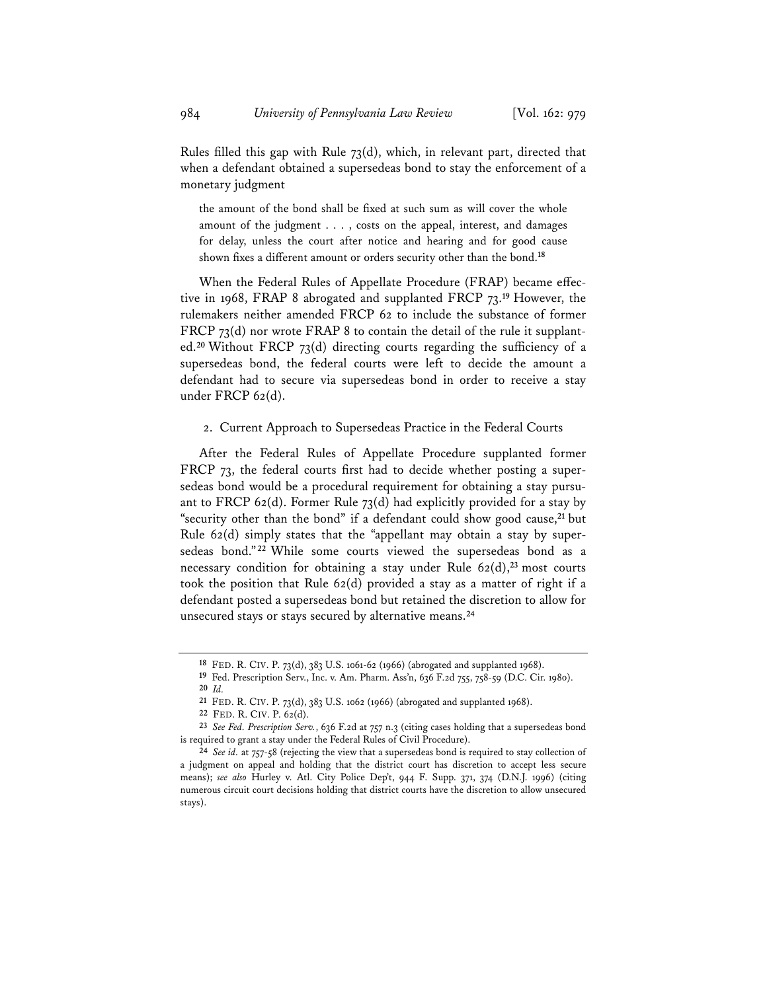Rules filled this gap with Rule 73(d), which, in relevant part, directed that when a defendant obtained a supersedeas bond to stay the enforcement of a monetary judgment

the amount of the bond shall be fixed at such sum as will cover the whole amount of the judgment . . . , costs on the appeal, interest, and damages for delay, unless the court after notice and hearing and for good cause shown fixes a different amount or orders security other than the bond.**<sup>18</sup>**

When the Federal Rules of Appellate Procedure (FRAP) became effective in 1968, FRAP 8 abrogated and supplanted FRCP 73.**<sup>19</sup>** However, the rulemakers neither amended FRCP 62 to include the substance of former FRCP 73(d) nor wrote FRAP 8 to contain the detail of the rule it supplanted.**<sup>20</sup>** Without FRCP 73(d) directing courts regarding the sufficiency of a supersedeas bond, the federal courts were left to decide the amount a defendant had to secure via supersedeas bond in order to receive a stay under FRCP 62(d).

#### 2. Current Approach to Supersedeas Practice in the Federal Courts

After the Federal Rules of Appellate Procedure supplanted former FRCP 73, the federal courts first had to decide whether posting a supersedeas bond would be a procedural requirement for obtaining a stay pursuant to FRCP 62(d). Former Rule  $73$ (d) had explicitly provided for a stay by "security other than the bond" if a defendant could show good cause,**<sup>21</sup>** but Rule 62(d) simply states that the "appellant may obtain a stay by supersedeas bond." **<sup>22</sup>** While some courts viewed the supersedeas bond as a necessary condition for obtaining a stay under Rule 62(d),**<sup>23</sup>** most courts took the position that Rule 62(d) provided a stay as a matter of right if a defendant posted a supersedeas bond but retained the discretion to allow for unsecured stays or stays secured by alternative means.**<sup>24</sup>**

**<sup>18</sup>** FED. R. CIV. P. 73(d), 383 U.S. 1061-62 (1966) (abrogated and supplanted 1968).

**<sup>19</sup>** Fed. Prescription Serv., Inc. v. Am. Pharm. Ass'n, 636 F.2d 755, 758-59 (D.C. Cir. 1980). **<sup>20</sup>** *Id.*

**<sup>21</sup>** FED. R. CIV. P. 73(d), 383 U.S. 1062 (1966) (abrogated and supplanted 1968).

**<sup>22</sup>** FED. R. CIV. P. 62(d).

**<sup>23</sup>** *See Fed. Prescription Serv.*, 636 F.2d at 757 n.3 (citing cases holding that a supersedeas bond is required to grant a stay under the Federal Rules of Civil Procedure).

**<sup>24</sup>** *See id.* at 757-58 (rejecting the view that a supersedeas bond is required to stay collection of a judgment on appeal and holding that the district court has discretion to accept less secure means); *see also* Hurley v. Atl. City Police Dep't, 944 F. Supp. 371, 374 (D.N.J. 1996) (citing numerous circuit court decisions holding that district courts have the discretion to allow unsecured stays).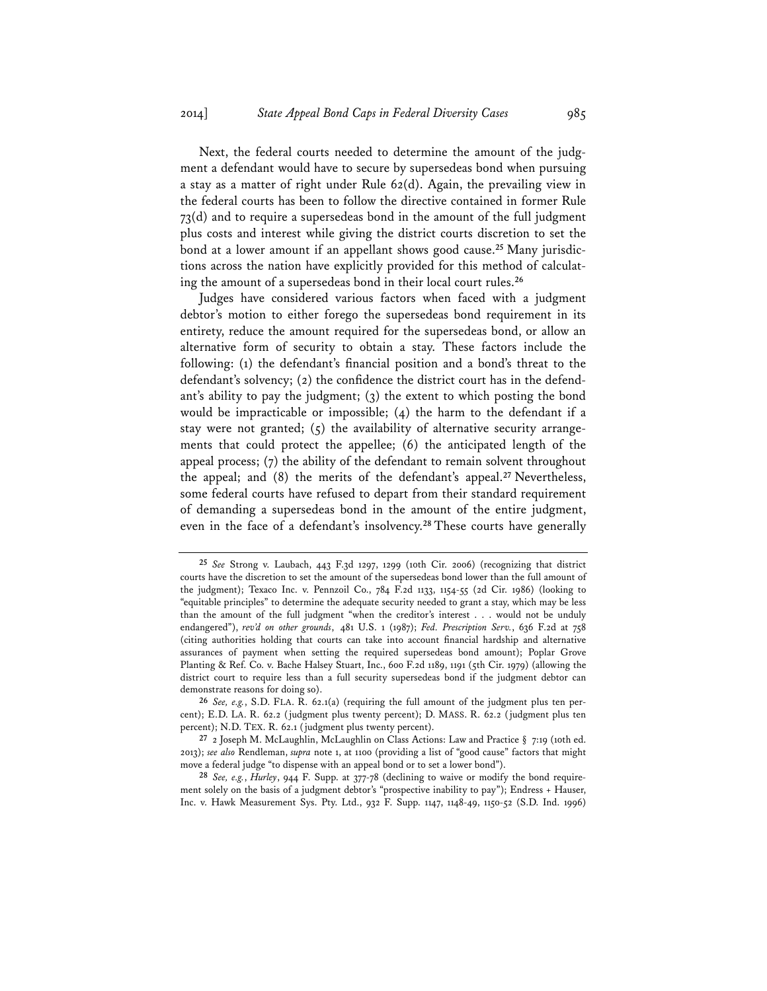Next, the federal courts needed to determine the amount of the judgment a defendant would have to secure by supersedeas bond when pursuing a stay as a matter of right under Rule 62(d). Again, the prevailing view in the federal courts has been to follow the directive contained in former Rule  $73(d)$  and to require a supersedeas bond in the amount of the full judgment plus costs and interest while giving the district courts discretion to set the bond at a lower amount if an appellant shows good cause.**<sup>25</sup>** Many jurisdictions across the nation have explicitly provided for this method of calculating the amount of a supersedeas bond in their local court rules.**<sup>26</sup>**

Judges have considered various factors when faced with a judgment debtor's motion to either forego the supersedeas bond requirement in its entirety, reduce the amount required for the supersedeas bond, or allow an alternative form of security to obtain a stay. These factors include the following: (1) the defendant's financial position and a bond's threat to the defendant's solvency; (2) the confidence the district court has in the defendant's ability to pay the judgment; (3) the extent to which posting the bond would be impracticable or impossible; (4) the harm to the defendant if a stay were not granted;  $(5)$  the availability of alternative security arrangements that could protect the appellee; (6) the anticipated length of the appeal process; (7) the ability of the defendant to remain solvent throughout the appeal; and (8) the merits of the defendant's appeal.**<sup>27</sup>** Nevertheless, some federal courts have refused to depart from their standard requirement of demanding a supersedeas bond in the amount of the entire judgment, even in the face of a defendant's insolvency.**<sup>28</sup>** These courts have generally

**<sup>25</sup>** *See* Strong v. Laubach, 443 F.3d 1297, 1299 (10th Cir. 2006) (recognizing that district courts have the discretion to set the amount of the supersedeas bond lower than the full amount of the judgment); Texaco Inc. v. Pennzoil Co., 784 F.2d 1133, 1154-55 (2d Cir. 1986) (looking to "equitable principles" to determine the adequate security needed to grant a stay, which may be less than the amount of the full judgment "when the creditor's interest . . . would not be unduly endangered"), *rev'd on other grounds*, 481 U.S. 1 (1987); *Fed. Prescription Serv.*, 636 F.2d at 758 (citing authorities holding that courts can take into account financial hardship and alternative assurances of payment when setting the required supersedeas bond amount); Poplar Grove Planting & Ref. Co. v. Bache Halsey Stuart, Inc., 600 F.2d 1189, 1191 (5th Cir. 1979) (allowing the district court to require less than a full security supersedeas bond if the judgment debtor can demonstrate reasons for doing so).

**<sup>26</sup>** *See, e.g.*, S.D. FLA. R. 62.1(a) (requiring the full amount of the judgment plus ten percent); E.D. LA. R. 62.2 (judgment plus twenty percent); D. MASS. R. 62.2 (judgment plus ten percent); N.D. TEX. R. 62.1 (judgment plus twenty percent).

**<sup>27</sup>** 2 Joseph M. McLaughlin, McLaughlin on Class Actions: Law and Practice § 7:19 (10th ed. 2013); *see also* Rendleman, *supra* note 1, at 1100 (providing a list of "good cause" factors that might move a federal judge "to dispense with an appeal bond or to set a lower bond").

**<sup>28</sup>** *See, e.g.*, *Hurley*, 944 F. Supp. at 377-78 (declining to waive or modify the bond requirement solely on the basis of a judgment debtor's "prospective inability to pay"); Endress + Hauser, Inc. v. Hawk Measurement Sys. Pty. Ltd., 932 F. Supp. 1147, 1148-49, 1150-52 (S.D. Ind. 1996)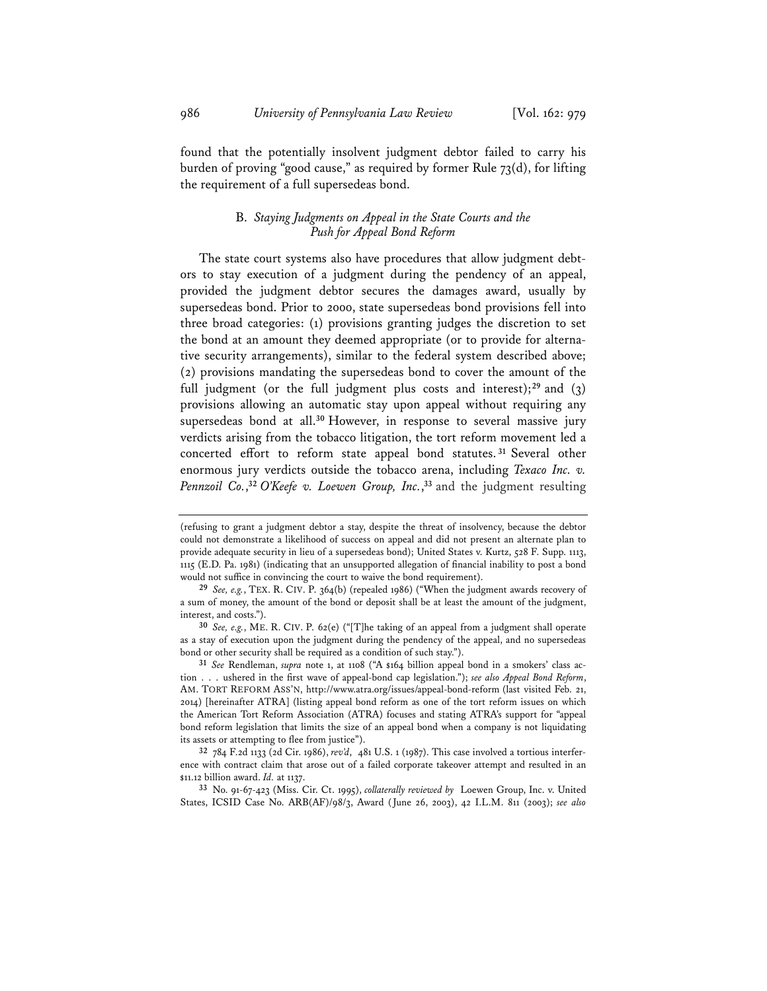found that the potentially insolvent judgment debtor failed to carry his burden of proving "good cause," as required by former Rule 73(d), for lifting the requirement of a full supersedeas bond.

# B. *Staying Judgments on Appeal in the State Courts and the Push for Appeal Bond Reform*

The state court systems also have procedures that allow judgment debtors to stay execution of a judgment during the pendency of an appeal, provided the judgment debtor secures the damages award, usually by supersedeas bond. Prior to 2000, state supersedeas bond provisions fell into three broad categories: (1) provisions granting judges the discretion to set the bond at an amount they deemed appropriate (or to provide for alternative security arrangements), similar to the federal system described above; (2) provisions mandating the supersedeas bond to cover the amount of the full judgment (or the full judgment plus costs and interest);**<sup>29</sup>** and (3) provisions allowing an automatic stay upon appeal without requiring any supersedeas bond at all.**<sup>30</sup>** However, in response to several massive jury verdicts arising from the tobacco litigation, the tort reform movement led a concerted effort to reform state appeal bond statutes. **<sup>31</sup>** Several other enormous jury verdicts outside the tobacco arena, including *Texaco Inc. v. Pennzoil Co.*, **<sup>32</sup>** *O'Keefe v. Loewen Group, Inc.*, **<sup>33</sup>** and the judgment resulting

<sup>(</sup>refusing to grant a judgment debtor a stay, despite the threat of insolvency, because the debtor could not demonstrate a likelihood of success on appeal and did not present an alternate plan to provide adequate security in lieu of a supersedeas bond); United States v. Kurtz, 528 F. Supp. 1113, 1115 (E.D. Pa. 1981) (indicating that an unsupported allegation of financial inability to post a bond would not suffice in convincing the court to waive the bond requirement).

**<sup>29</sup>** *See, e.g.*, TEX. R. CIV. P. 364(b) (repealed 1986) ("When the judgment awards recovery of a sum of money, the amount of the bond or deposit shall be at least the amount of the judgment, interest, and costs.").

**<sup>30</sup>** *See, e.g.*, ME. R. CIV. P. 62(e) ("[T]he taking of an appeal from a judgment shall operate as a stay of execution upon the judgment during the pendency of the appeal, and no supersedeas bond or other security shall be required as a condition of such stay.").

**<sup>31</sup>** *See* Rendleman, *supra* note 1, at 1108 ("A \$164 billion appeal bond in a smokers' class action . . . ushered in the first wave of appeal-bond cap legislation."); *see also Appeal Bond Reform*, AM. TORT REFORM ASS'N, http://www.atra.org/issues/appeal-bond-reform (last visited Feb. 21, 2014) [hereinafter ATRA] (listing appeal bond reform as one of the tort reform issues on which the American Tort Reform Association (ATRA) focuses and stating ATRA's support for "appeal bond reform legislation that limits the size of an appeal bond when a company is not liquidating its assets or attempting to flee from justice").

**<sup>32</sup>** 784 F.2d 1133 (2d Cir. 1986), *rev'd*, 481 U.S. 1 (1987). This case involved a tortious interference with contract claim that arose out of a failed corporate takeover attempt and resulted in an \$11.12 billion award. *Id.* at 1137.

**<sup>33</sup>** No. 91-67-423 (Miss. Cir. Ct. 1995), *collaterally reviewed by* Loewen Group, Inc. v. United States, ICSID Case No. ARB(AF)/98/3, Award (June 26, 2003), 42 I.L.M. 811 (2003); *see also*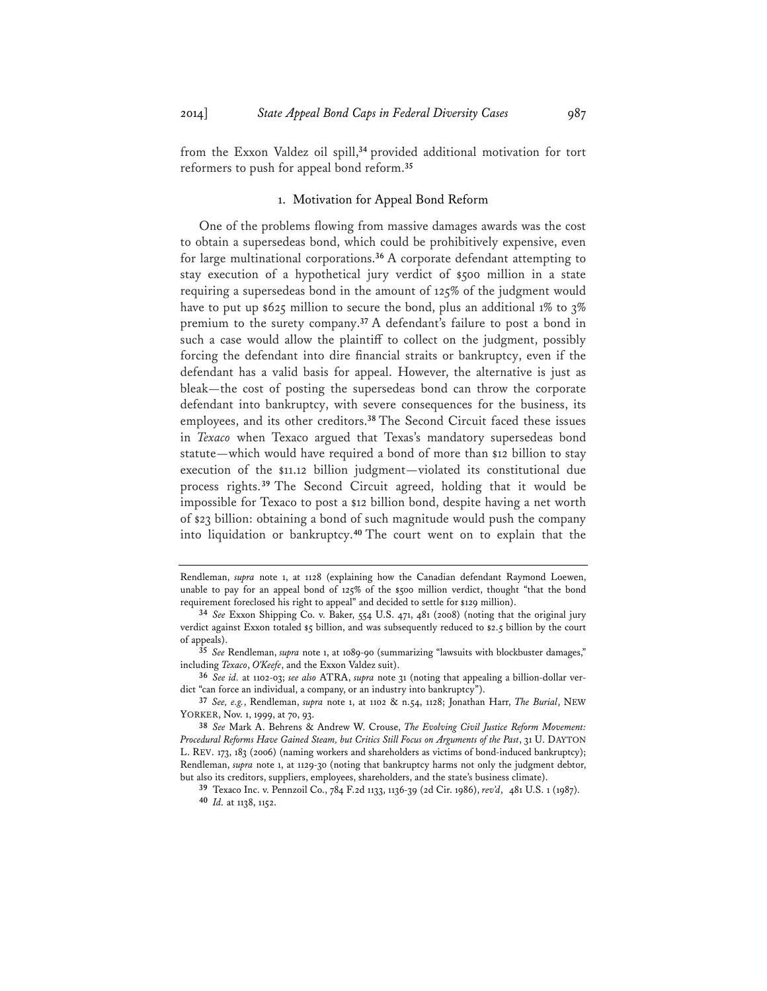from the Exxon Valdez oil spill,**<sup>34</sup>** provided additional motivation for tort reformers to push for appeal bond reform.**<sup>35</sup>**

# 1. Motivation for Appeal Bond Reform

One of the problems flowing from massive damages awards was the cost to obtain a supersedeas bond, which could be prohibitively expensive, even for large multinational corporations.**<sup>36</sup>** A corporate defendant attempting to stay execution of a hypothetical jury verdict of \$500 million in a state requiring a supersedeas bond in the amount of 125% of the judgment would have to put up \$625 million to secure the bond, plus an additional 1% to 3% premium to the surety company.**<sup>37</sup>** A defendant's failure to post a bond in such a case would allow the plaintiff to collect on the judgment, possibly forcing the defendant into dire financial straits or bankruptcy, even if the defendant has a valid basis for appeal. However, the alternative is just as bleak—the cost of posting the supersedeas bond can throw the corporate defendant into bankruptcy, with severe consequences for the business, its employees, and its other creditors.**<sup>38</sup>** The Second Circuit faced these issues in *Texaco* when Texaco argued that Texas's mandatory supersedeas bond statute—which would have required a bond of more than \$12 billion to stay execution of the \$11.12 billion judgment—violated its constitutional due process rights.**<sup>39</sup>** The Second Circuit agreed, holding that it would be impossible for Texaco to post a \$12 billion bond, despite having a net worth of \$23 billion: obtaining a bond of such magnitude would push the company into liquidation or bankruptcy.**<sup>40</sup>** The court went on to explain that the

Rendleman, *supra* note 1, at 1128 (explaining how the Canadian defendant Raymond Loewen, unable to pay for an appeal bond of 125% of the \$500 million verdict, thought "that the bond requirement foreclosed his right to appeal" and decided to settle for \$129 million).

**<sup>34</sup>** *See* Exxon Shipping Co. v. Baker, 554 U.S. 471, 481 (2008) (noting that the original jury verdict against Exxon totaled \$5 billion, and was subsequently reduced to \$2.5 billion by the court of appeals).

**<sup>35</sup>** *See* Rendleman, *supra* note 1, at 1089-90 (summarizing "lawsuits with blockbuster damages," including *Texaco*, *O'Keefe*, and the Exxon Valdez suit).

**<sup>36</sup>** *See id.* at 1102-03; *see also* ATRA, *supra* note 31 (noting that appealing a billion-dollar verdict "can force an individual, a company, or an industry into bankruptcy").

**<sup>37</sup>** *See, e.g.*, Rendleman, *supra* note 1, at 1102 & n.54, 1128; Jonathan Harr, *The Burial*, NEW YORKER, Nov. 1, 1999, at 70, 93.

**<sup>38</sup>** *See* Mark A. Behrens & Andrew W. Crouse, *The Evolving Civil Justice Reform Movement: Procedural Reforms Have Gained Steam, but Critics Still Focus on Arguments of the Past*, 31 U. DAYTON L. REV. 173, 183 (2006) (naming workers and shareholders as victims of bond-induced bankruptcy); Rendleman, *supra* note 1, at 1129-30 (noting that bankruptcy harms not only the judgment debtor, but also its creditors, suppliers, employees, shareholders, and the state's business climate).

**<sup>39</sup>** Texaco Inc. v. Pennzoil Co., 784 F.2d 1133, 1136-39 (2d Cir. 1986), *rev'd*, 481 U.S. 1 (1987). **<sup>40</sup>** *Id.* at 1138, 1152.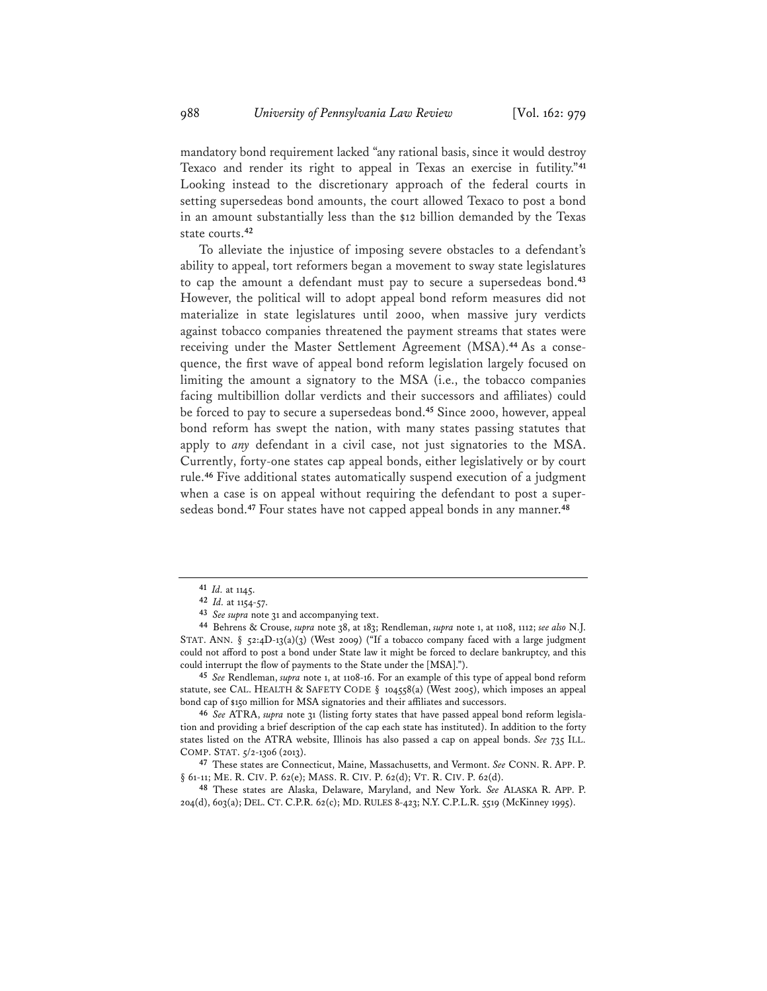mandatory bond requirement lacked "any rational basis, since it would destroy Texaco and render its right to appeal in Texas an exercise in futility."**<sup>41</sup>** Looking instead to the discretionary approach of the federal courts in setting supersedeas bond amounts, the court allowed Texaco to post a bond in an amount substantially less than the \$12 billion demanded by the Texas state courts.**<sup>42</sup>**

To alleviate the injustice of imposing severe obstacles to a defendant's ability to appeal, tort reformers began a movement to sway state legislatures to cap the amount a defendant must pay to secure a supersedeas bond.**<sup>43</sup>** However, the political will to adopt appeal bond reform measures did not materialize in state legislatures until 2000, when massive jury verdicts against tobacco companies threatened the payment streams that states were receiving under the Master Settlement Agreement (MSA).**<sup>44</sup>** As a consequence, the first wave of appeal bond reform legislation largely focused on limiting the amount a signatory to the MSA (i.e., the tobacco companies facing multibillion dollar verdicts and their successors and affiliates) could be forced to pay to secure a supersedeas bond.**<sup>45</sup>** Since 2000, however, appeal bond reform has swept the nation, with many states passing statutes that apply to *any* defendant in a civil case, not just signatories to the MSA. Currently, forty-one states cap appeal bonds, either legislatively or by court rule.**<sup>46</sup>** Five additional states automatically suspend execution of a judgment when a case is on appeal without requiring the defendant to post a supersedeas bond.**<sup>47</sup>** Four states have not capped appeal bonds in any manner.**<sup>48</sup>**

**<sup>45</sup>** *See* Rendleman, *supra* note 1, at 1108-16. For an example of this type of appeal bond reform statute, see CAL. HEALTH & SAFETY CODE § 104558(a) (West 2005), which imposes an appeal bond cap of \$150 million for MSA signatories and their affiliates and successors.

**<sup>46</sup>** *See* ATRA, *supra* note 31 (listing forty states that have passed appeal bond reform legislation and providing a brief description of the cap each state has instituted). In addition to the forty states listed on the ATRA website, Illinois has also passed a cap on appeal bonds. *See* 735 ILL. COMP. STAT. 5/2-1306 (2013).

**<sup>47</sup>** These states are Connecticut, Maine, Massachusetts, and Vermont. *See* CONN. R. APP. P. § 61-11; ME. R. CIV. P. 62(e); MASS. R. CIV. P. 62(d); VT. R. CIV. P. 62(d).

**<sup>48</sup>** These states are Alaska, Delaware, Maryland, and New York. *See* ALASKA R. APP. P. 204(d), 603(a); DEL. CT. C.P.R. 62(c); MD. RULES 8-423; N.Y. C.P.L.R. 5519 (McKinney 1995).

**<sup>41</sup>** *Id.* at 1145.

**<sup>42</sup>** *Id.* at 1154-57.

**<sup>43</sup>** *See supra* note 31 and accompanying text. **44** Behrens & Crouse, *supra* note 38, at 183; Rendleman, *supra* note 1, at 1108, 1112; *see also* N.J. STAT. ANN. § 52:4D-13(a)(3) (West 2009) ("If a tobacco company faced with a large judgment could not afford to post a bond under State law it might be forced to declare bankruptcy, and this could interrupt the flow of payments to the State under the [MSA].").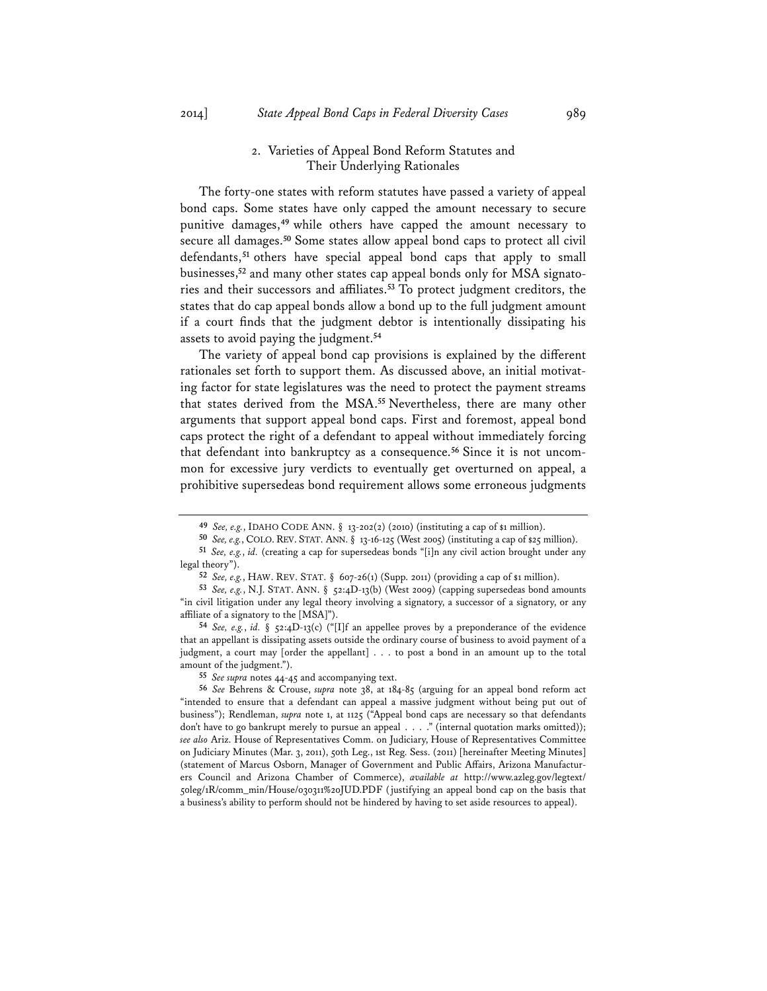# 2. Varieties of Appeal Bond Reform Statutes and Their Underlying Rationales

The forty-one states with reform statutes have passed a variety of appeal bond caps. Some states have only capped the amount necessary to secure punitive damages,**<sup>49</sup>** while others have capped the amount necessary to secure all damages.**<sup>50</sup>** Some states allow appeal bond caps to protect all civil defendants,**<sup>51</sup>** others have special appeal bond caps that apply to small businesses,**<sup>52</sup>** and many other states cap appeal bonds only for MSA signatories and their successors and affiliates.**<sup>53</sup>** To protect judgment creditors, the states that do cap appeal bonds allow a bond up to the full judgment amount if a court finds that the judgment debtor is intentionally dissipating his assets to avoid paying the judgment.**<sup>54</sup>**

The variety of appeal bond cap provisions is explained by the different rationales set forth to support them. As discussed above, an initial motivating factor for state legislatures was the need to protect the payment streams that states derived from the MSA.**<sup>55</sup>** Nevertheless, there are many other arguments that support appeal bond caps. First and foremost, appeal bond caps protect the right of a defendant to appeal without immediately forcing that defendant into bankruptcy as a consequence.**<sup>56</sup>** Since it is not uncommon for excessive jury verdicts to eventually get overturned on appeal, a prohibitive supersedeas bond requirement allows some erroneous judgments

**<sup>49</sup>** *See, e.g.*, IDAHO CODE ANN. § 13-202(2) (2010) (instituting a cap of \$1 million).

**<sup>50</sup>** *See, e.g.*, COLO. REV. STAT. ANN. § 13-16-125 (West 2005) (instituting a cap of \$25 million).

**<sup>51</sup>** *See, e.g.*, *id.* (creating a cap for supersedeas bonds "[i]n any civil action brought under any legal theory").

**<sup>52</sup>** *See, e.g.*, HAW. REV. STAT. § 607-26(1) (Supp. 2011) (providing a cap of \$1 million).

**<sup>53</sup>** *See, e.g.*, N.J. STAT. ANN. § 52:4D-13(b) (West 2009) (capping supersedeas bond amounts "in civil litigation under any legal theory involving a signatory, a successor of a signatory, or any affiliate of a signatory to the [MSA]").

**<sup>54</sup>** *See, e.g.*, *id.* § 52:4D-13(c) ("[I]f an appellee proves by a preponderance of the evidence that an appellant is dissipating assets outside the ordinary course of business to avoid payment of a judgment, a court may [order the appellant] . . . to post a bond in an amount up to the total amount of the judgment.").

**<sup>55</sup>** *See supra* notes 44-45 and accompanying text.

**<sup>56</sup>** *See* Behrens & Crouse, *supra* note 38, at 184-85 (arguing for an appeal bond reform act "intended to ensure that a defendant can appeal a massive judgment without being put out of business"); Rendleman, *supra* note 1, at 1125 ("Appeal bond caps are necessary so that defendants don't have to go bankrupt merely to pursue an appeal . . . ." (internal quotation marks omitted)); *see also* Ariz. House of Representatives Comm. on Judiciary, House of Representatives Committee on Judiciary Minutes (Mar. 3, 2011), 50th Leg., 1st Reg. Sess. (2011) [hereinafter Meeting Minutes] (statement of Marcus Osborn, Manager of Government and Public Affairs, Arizona Manufacturers Council and Arizona Chamber of Commerce), *available at* http://www.azleg.gov/legtext/ 50leg/1R/comm\_min/House/030311%20JUD.PDF (justifying an appeal bond cap on the basis that a business's ability to perform should not be hindered by having to set aside resources to appeal).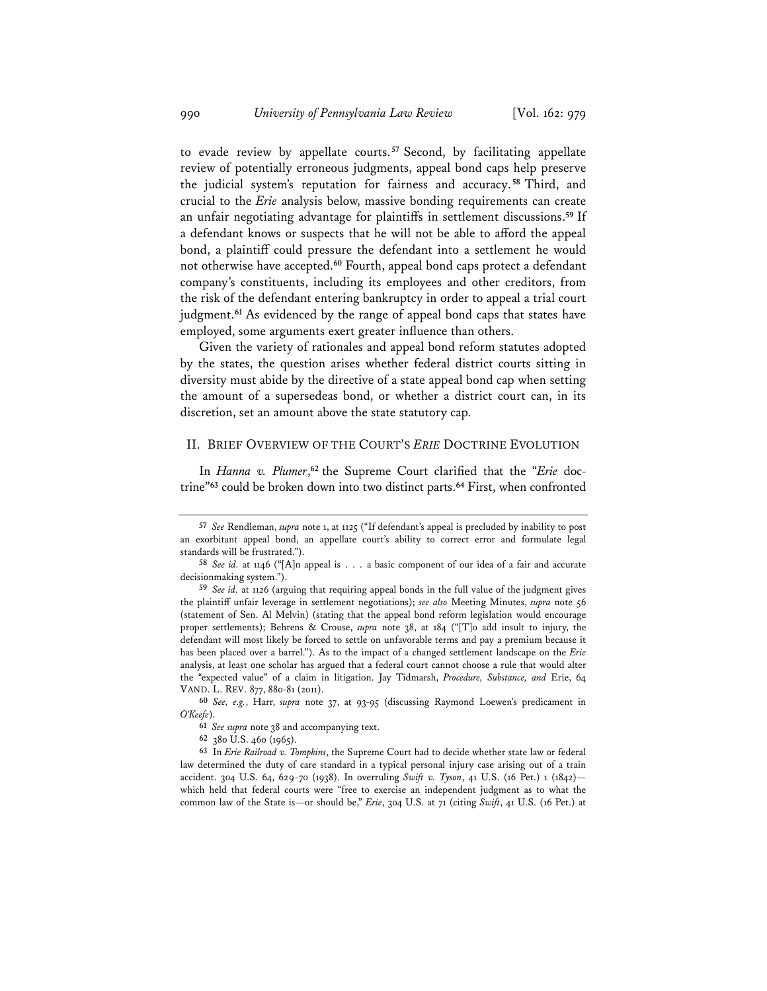to evade review by appellate courts. **<sup>57</sup>** Second, by facilitating appellate review of potentially erroneous judgments, appeal bond caps help preserve the judicial system's reputation for fairness and accuracy. **<sup>58</sup>** Third, and crucial to the *Erie* analysis below, massive bonding requirements can create an unfair negotiating advantage for plaintiffs in settlement discussions.**<sup>59</sup>** If a defendant knows or suspects that he will not be able to afford the appeal bond, a plaintiff could pressure the defendant into a settlement he would not otherwise have accepted.**<sup>60</sup>** Fourth, appeal bond caps protect a defendant company's constituents, including its employees and other creditors, from the risk of the defendant entering bankruptcy in order to appeal a trial court judgment.**<sup>61</sup>** As evidenced by the range of appeal bond caps that states have employed, some arguments exert greater influence than others.

Given the variety of rationales and appeal bond reform statutes adopted by the states, the question arises whether federal district courts sitting in diversity must abide by the directive of a state appeal bond cap when setting the amount of a supersedeas bond, or whether a district court can, in its discretion, set an amount above the state statutory cap.

#### II. BRIEF OVERVIEW OF THE COURT'S *ERIE* DOCTRINE EVOLUTION

In *Hanna v. Plumer*,<sup>62</sup> the Supreme Court clarified that the "*Erie* doctrine"**<sup>63</sup>** could be broken down into two distinct parts.**<sup>64</sup>** First, when confronted

**<sup>60</sup>** *See, e.g.*, Harr, *supra* note 37, at 93-95 (discussing Raymond Loewen's predicament in *O'Keefe*).

**<sup>61</sup>** *See supra* note 38 and accompanying text.

**<sup>62</sup>** 380 U.S. 460 (1965).

**<sup>63</sup>** In *Erie Railroad v. Tompkins*, the Supreme Court had to decide whether state law or federal law determined the duty of care standard in a typical personal injury case arising out of a train accident. 304 U.S. 64, 629-70 (1938). In overruling *Swift v. Tyson*, 41 U.S. (16 Pet.) 1 (1842) which held that federal courts were "free to exercise an independent judgment as to what the common law of the State is—or should be," *Erie*, 304 U.S. at 71 (citing *Swift*, 41 U.S. (16 Pet.) at

**<sup>57</sup>** *See* Rendleman, *supra* note 1, at 1125 ("If defendant's appeal is precluded by inability to post an exorbitant appeal bond, an appellate court's ability to correct error and formulate legal standards will be frustrated.").

**<sup>58</sup>** *See id.* at 1146 ("[A]n appeal is . . . a basic component of our idea of a fair and accurate decisionmaking system.").

**<sup>59</sup>** *See id.* at 1126 (arguing that requiring appeal bonds in the full value of the judgment gives the plaintiff unfair leverage in settlement negotiations); *see also* Meeting Minutes, *supra* note 56 (statement of Sen. Al Melvin) (stating that the appeal bond reform legislation would encourage proper settlements); Behrens & Crouse, *supra* note 38, at 184 ("[T]o add insult to injury, the defendant will most likely be forced to settle on unfavorable terms and pay a premium because it has been placed over a barrel."). As to the impact of a changed settlement landscape on the *Erie* analysis, at least one scholar has argued that a federal court cannot choose a rule that would alter the "expected value" of a claim in litigation. Jay Tidmarsh, *Procedure, Substance, and* Erie, 64 VAND. L. REV. 877, 880-81 (2011).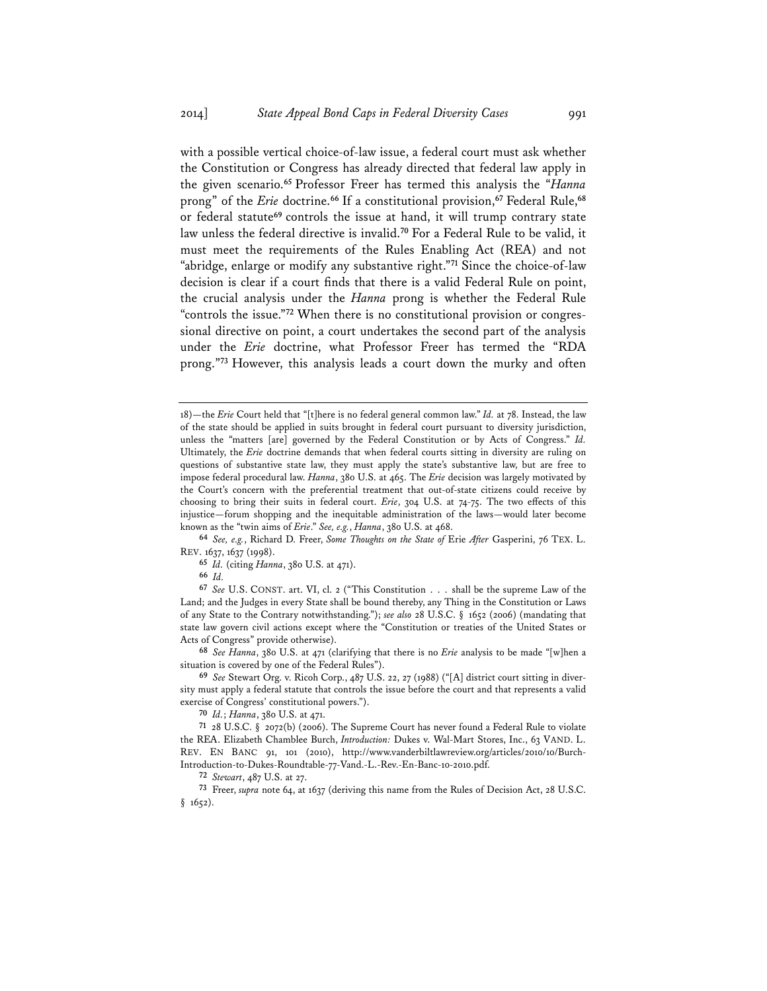with a possible vertical choice-of-law issue, a federal court must ask whether the Constitution or Congress has already directed that federal law apply in the given scenario.**<sup>65</sup>** Professor Freer has termed this analysis the "*Hanna* prong" of the *Erie* doctrine.**<sup>66</sup>** If a constitutional provision,**<sup>67</sup>** Federal Rule,**<sup>68</sup>** or federal statute**<sup>69</sup>** controls the issue at hand, it will trump contrary state law unless the federal directive is invalid.**<sup>70</sup>** For a Federal Rule to be valid, it must meet the requirements of the Rules Enabling Act (REA) and not "abridge, enlarge or modify any substantive right."**<sup>71</sup>** Since the choice-of-law decision is clear if a court finds that there is a valid Federal Rule on point, the crucial analysis under the *Hanna* prong is whether the Federal Rule "controls the issue."**<sup>72</sup>** When there is no constitutional provision or congressional directive on point, a court undertakes the second part of the analysis under the *Erie* doctrine, what Professor Freer has termed the "RDA prong."**<sup>73</sup>** However, this analysis leads a court down the murky and often

**<sup>64</sup>** *See, e.g.*, Richard D. Freer, *Some Thoughts on the State of* Erie *After* Gasperini, 76 TEX. L. REV. 1637, 1637 (1998).

**<sup>65</sup>** *Id.* (citing *Hanna*, 380 U.S. at 471).

**<sup>66</sup>** *Id.* 

**<sup>67</sup>** *See* U.S. CONST. art. VI, cl. 2 ("This Constitution . . . shall be the supreme Law of the Land; and the Judges in every State shall be bound thereby, any Thing in the Constitution or Laws of any State to the Contrary notwithstanding."); *see also* 28 U.S.C. § 1652 (2006) (mandating that state law govern civil actions except where the "Constitution or treaties of the United States or Acts of Congress" provide otherwise).

**<sup>68</sup>** *See Hanna*, 380 U.S. at 471 (clarifying that there is no *Erie* analysis to be made "[w]hen a situation is covered by one of the Federal Rules").

**<sup>69</sup>** *See* Stewart Org. v. Ricoh Corp., 487 U.S. 22, 27 (1988) ("[A] district court sitting in diversity must apply a federal statute that controls the issue before the court and that represents a valid exercise of Congress' constitutional powers.").

**<sup>70</sup>** *Id.*; *Hanna*, 380 U.S. at 471.

**<sup>71</sup>** 28 U.S.C. § 2072(b) (2006). The Supreme Court has never found a Federal Rule to violate the REA. Elizabeth Chamblee Burch, *Introduction:* Dukes v. Wal-Mart Stores, Inc., 63 VAND. L. REV. EN BANC 91, 101 (2010), http://www.vanderbiltlawreview.org/articles/2010/10/Burch-Introduction-to-Dukes-Roundtable-77-Vand.-L.-Rev.-En-Banc-10-2010.pdf.

**<sup>72</sup>** *Stewart*, 487 U.S. at 27.

**<sup>73</sup>** Freer, *supra* note 64, at 1637 (deriving this name from the Rules of Decision Act, 28 U.S.C.  $§$  1652).

<sup>18)—</sup>the *Erie* Court held that "[t]here is no federal general common law." *Id.* at 78. Instead, the law of the state should be applied in suits brought in federal court pursuant to diversity jurisdiction, unless the "matters [are] governed by the Federal Constitution or by Acts of Congress." *Id.* Ultimately, the *Erie* doctrine demands that when federal courts sitting in diversity are ruling on questions of substantive state law, they must apply the state's substantive law, but are free to impose federal procedural law. *Hanna*, 380 U.S. at 465. The *Erie* decision was largely motivated by the Court's concern with the preferential treatment that out-of-state citizens could receive by choosing to bring their suits in federal court. *Erie*, 304 U.S. at 74-75. The two effects of this injustice—forum shopping and the inequitable administration of the laws—would later become known as the "twin aims of *Erie*." *See, e.g.*, *Hanna*, 380 U.S. at 468.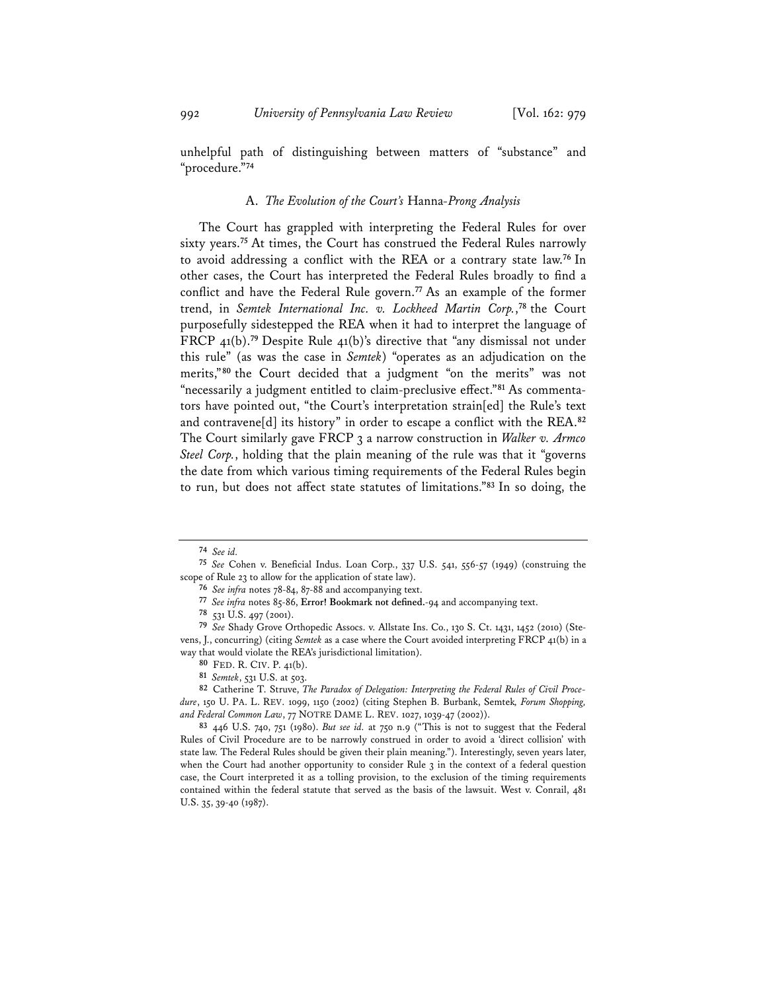unhelpful path of distinguishing between matters of "substance" and "procedure."**<sup>74</sup>**

#### A. *The Evolution of the Court's* Hanna*-Prong Analysis*

The Court has grappled with interpreting the Federal Rules for over sixty years.**<sup>75</sup>** At times, the Court has construed the Federal Rules narrowly to avoid addressing a conflict with the REA or a contrary state law.**<sup>76</sup>** In other cases, the Court has interpreted the Federal Rules broadly to find a conflict and have the Federal Rule govern.**<sup>77</sup>** As an example of the former trend, in *Semtek International Inc. v. Lockheed Martin Corp.*, **<sup>78</sup>** the Court purposefully sidestepped the REA when it had to interpret the language of FRCP 41(b).**<sup>79</sup>** Despite Rule 41(b)'s directive that "any dismissal not under this rule" (as was the case in *Semtek*) "operates as an adjudication on the merits,"**<sup>80</sup>** the Court decided that a judgment "on the merits" was not "necessarily a judgment entitled to claim-preclusive effect."**<sup>81</sup>** As commentators have pointed out, "the Court's interpretation strain[ed] the Rule's text and contravene[d] its history" in order to escape a conflict with the REA.**<sup>82</sup>** The Court similarly gave FRCP 3 a narrow construction in *Walker v. Armco Steel Corp.*, holding that the plain meaning of the rule was that it "governs the date from which various timing requirements of the Federal Rules begin to run, but does not affect state statutes of limitations."**<sup>83</sup>** In so doing, the

**<sup>74</sup>** *See id.*

**<sup>75</sup>** *See* Cohen v. Beneficial Indus. Loan Corp., 337 U.S. 541, 556-57 (1949) (construing the scope of Rule 23 to allow for the application of state law).

**<sup>76</sup>** *See infra* notes 78-84, 87-88 and accompanying text.

**<sup>77</sup>** *See infra* notes 85-86, **Error! Bookmark not defined.**-94 and accompanying text.

**<sup>78</sup>** 531 U.S. 497 (2001).

**<sup>79</sup>** *See* Shady Grove Orthopedic Assocs. v. Allstate Ins. Co., 130 S. Ct. 1431, 1452 (2010) (Stevens, J., concurring) (citing *Semtek* as a case where the Court avoided interpreting FRCP 41(b) in a way that would violate the REA's jurisdictional limitation).

**<sup>80</sup>** FED. R. CIV. P. 41(b).

**<sup>81</sup>** *Semtek*, 531 U.S. at 503.

**<sup>82</sup>** Catherine T. Struve, *The Paradox of Delegation: Interpreting the Federal Rules of Civil Procedure*, 150 U. PA. L. REV. 1099, 1150 (2002) (citing Stephen B. Burbank, Semtek*, Forum Shopping, and Federal Common Law*, 77 NOTRE DAME L. REV. 1027, 1039-47 (2002)).

**<sup>83</sup>** 446 U.S. 740, 751 (1980). *But see id.* at 750 n.9 ("This is not to suggest that the Federal Rules of Civil Procedure are to be narrowly construed in order to avoid a 'direct collision' with state law. The Federal Rules should be given their plain meaning."). Interestingly, seven years later, when the Court had another opportunity to consider Rule 3 in the context of a federal question case, the Court interpreted it as a tolling provision, to the exclusion of the timing requirements contained within the federal statute that served as the basis of the lawsuit. West v. Conrail, 481 U.S. 35, 39-40 (1987).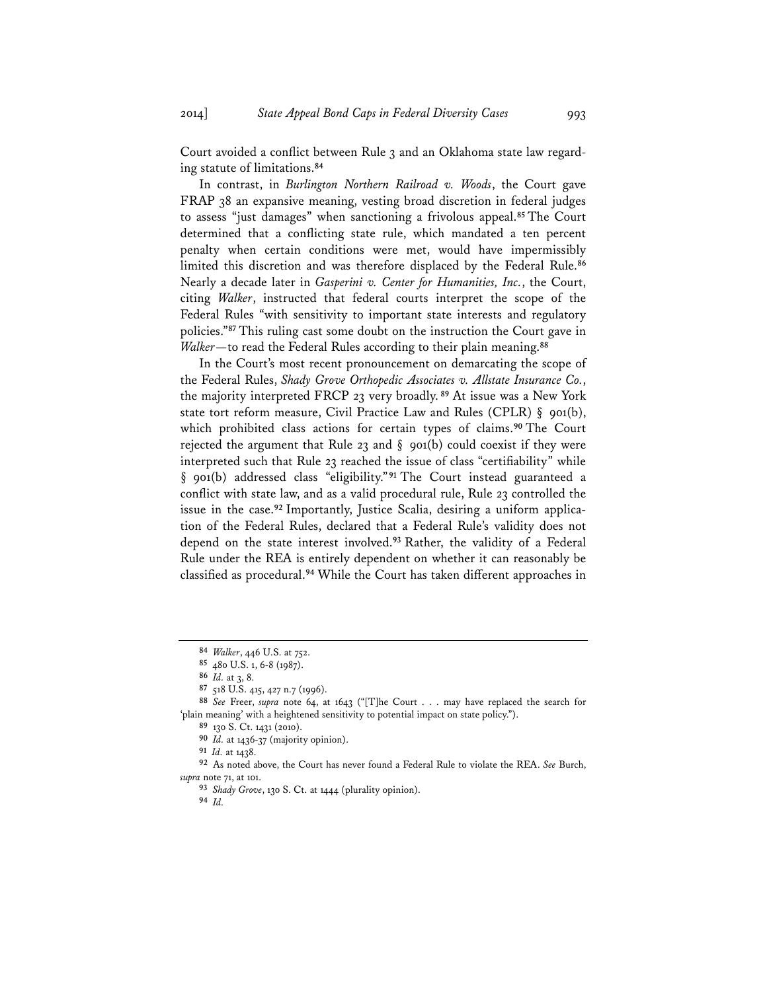Court avoided a conflict between Rule 3 and an Oklahoma state law regarding statute of limitations.**<sup>84</sup>**

In contrast, in *Burlington Northern Railroad v. Woods*, the Court gave FRAP 38 an expansive meaning, vesting broad discretion in federal judges to assess "just damages" when sanctioning a frivolous appeal.**<sup>85</sup>** The Court determined that a conflicting state rule, which mandated a ten percent penalty when certain conditions were met, would have impermissibly limited this discretion and was therefore displaced by the Federal Rule.**<sup>86</sup>** Nearly a decade later in *Gasperini v. Center for Humanities, Inc.*, the Court, citing *Walker*, instructed that federal courts interpret the scope of the Federal Rules "with sensitivity to important state interests and regulatory policies."**<sup>87</sup>** This ruling cast some doubt on the instruction the Court gave in *Walker*—to read the Federal Rules according to their plain meaning.**<sup>88</sup>**

In the Court's most recent pronouncement on demarcating the scope of the Federal Rules, *Shady Grove Orthopedic Associates v. Allstate Insurance Co.*, the majority interpreted FRCP 23 very broadly.**<sup>89</sup>** At issue was a New York state tort reform measure, Civil Practice Law and Rules (CPLR) § 901(b), which prohibited class actions for certain types of claims.**<sup>90</sup>** The Court rejected the argument that Rule 23 and  $\S$  901(b) could coexist if they were interpreted such that Rule 23 reached the issue of class "certifiability" while § 901(b) addressed class "eligibility."<sup>91</sup> The Court instead guaranteed a conflict with state law, and as a valid procedural rule, Rule 23 controlled the issue in the case.**<sup>92</sup>** Importantly, Justice Scalia, desiring a uniform application of the Federal Rules, declared that a Federal Rule's validity does not depend on the state interest involved.**<sup>93</sup>** Rather, the validity of a Federal Rule under the REA is entirely dependent on whether it can reasonably be classified as procedural.**<sup>94</sup>** While the Court has taken different approaches in

**<sup>94</sup>** *Id.*

**<sup>84</sup>** *Walker*, 446 U.S. at 752.

**<sup>85</sup>** 480 U.S. 1, 6-8 (1987).

**<sup>86</sup>** *Id.* at 3, 8.

**<sup>87</sup>** 518 U.S. 415, 427 n.7 (1996).

**<sup>88</sup>** *See* Freer, *supra* note 64, at 1643 ("[T]he Court . . . may have replaced the search for 'plain meaning' with a heightened sensitivity to potential impact on state policy.").

**<sup>89</sup>** 130 S. Ct. 1431 (2010).

**<sup>90</sup>** *Id.* at 1436-37 (majority opinion).

**<sup>91</sup>** *Id.* at 1438.

**<sup>92</sup>** As noted above, the Court has never found a Federal Rule to violate the REA. *See* Burch, *supra* note 71, at 101.

**<sup>93</sup>** *Shady Grove*, 130 S. Ct. at 1444 (plurality opinion).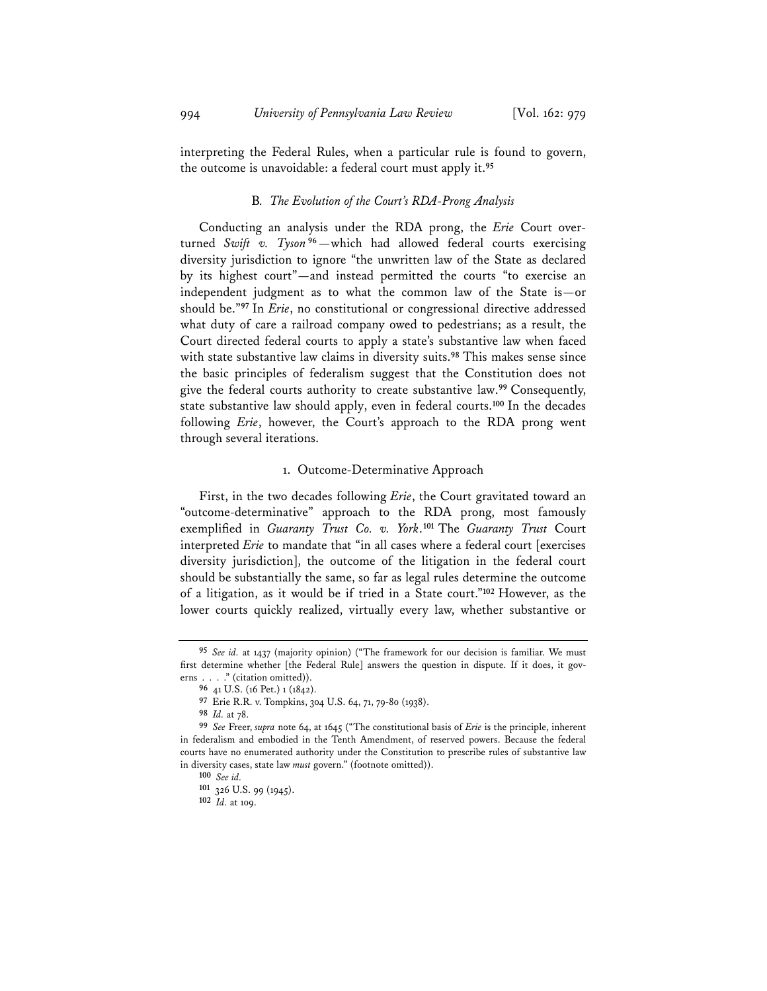interpreting the Federal Rules, when a particular rule is found to govern, the outcome is unavoidable: a federal court must apply it.**<sup>95</sup>**

#### B*. The Evolution of the Court's RDA-Prong Analysis*

Conducting an analysis under the RDA prong, the *Erie* Court overturned *Swift v. Tyson* **<sup>96</sup>**—which had allowed federal courts exercising diversity jurisdiction to ignore "the unwritten law of the State as declared by its highest court"—and instead permitted the courts "to exercise an independent judgment as to what the common law of the State is—or should be."**<sup>97</sup>** In *Erie*, no constitutional or congressional directive addressed what duty of care a railroad company owed to pedestrians; as a result, the Court directed federal courts to apply a state's substantive law when faced with state substantive law claims in diversity suits.**<sup>98</sup>** This makes sense since the basic principles of federalism suggest that the Constitution does not give the federal courts authority to create substantive law.**<sup>99</sup>** Consequently, state substantive law should apply, even in federal courts.**<sup>100</sup>** In the decades following *Erie*, however, the Court's approach to the RDA prong went through several iterations.

#### 1. Outcome-Determinative Approach

First, in the two decades following *Erie*, the Court gravitated toward an "outcome-determinative" approach to the RDA prong, most famously exemplified in *Guaranty Trust Co. v. York*.**<sup>101</sup>** The *Guaranty Trust* Court interpreted *Erie* to mandate that "in all cases where a federal court [exercises diversity jurisdiction], the outcome of the litigation in the federal court should be substantially the same, so far as legal rules determine the outcome of a litigation, as it would be if tried in a State court."**<sup>102</sup>** However, as the lower courts quickly realized, virtually every law, whether substantive or

**<sup>95</sup>** *See id.* at 1437 (majority opinion) ("The framework for our decision is familiar. We must first determine whether [the Federal Rule] answers the question in dispute. If it does, it governs . . . ." (citation omitted)).

**<sup>96</sup>** 41 U.S. (16 Pet.) 1 (1842).

**<sup>97</sup>** Erie R.R. v. Tompkins, 304 U.S. 64, 71, 79-80 (1938).

**<sup>98</sup>** *Id.* at 78.

**<sup>99</sup>** *See* Freer, *supra* note 64, at 1645 ("The constitutional basis of *Erie* is the principle, inherent in federalism and embodied in the Tenth Amendment, of reserved powers. Because the federal courts have no enumerated authority under the Constitution to prescribe rules of substantive law in diversity cases, state law *must* govern." (footnote omitted)).

**<sup>100</sup>** *See id.*

**<sup>101</sup>** 326 U.S. 99 (1945).

**<sup>102</sup>** *Id.* at 109.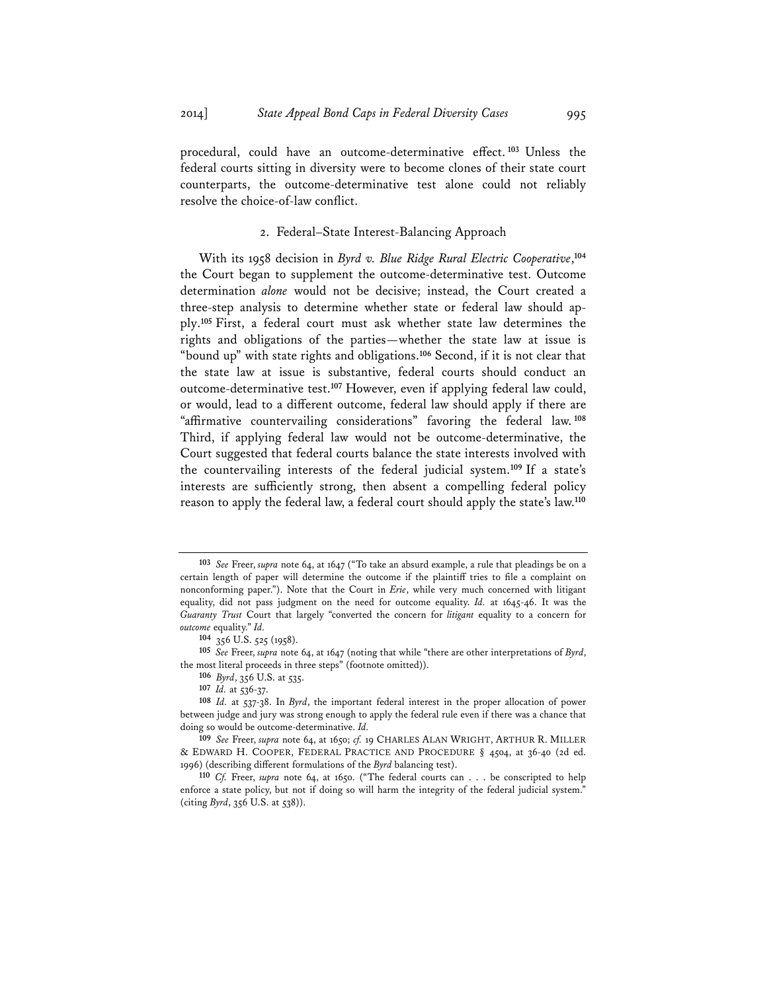procedural, could have an outcome-determinative effect. **<sup>103</sup>** Unless the federal courts sitting in diversity were to become clones of their state court counterparts, the outcome-determinative test alone could not reliably resolve the choice-of-law conflict.

# 2. Federal–State Interest-Balancing Approach

With its 1958 decision in *Byrd v. Blue Ridge Rural Electric Cooperative*, **104** the Court began to supplement the outcome-determinative test. Outcome determination *alone* would not be decisive; instead, the Court created a three-step analysis to determine whether state or federal law should apply.**<sup>105</sup>** First, a federal court must ask whether state law determines the rights and obligations of the parties—whether the state law at issue is "bound up" with state rights and obligations.**<sup>106</sup>** Second, if it is not clear that the state law at issue is substantive, federal courts should conduct an outcome-determinative test.**<sup>107</sup>** However, even if applying federal law could, or would, lead to a different outcome, federal law should apply if there are "affirmative countervailing considerations" favoring the federal law. **<sup>108</sup>** Third, if applying federal law would not be outcome-determinative, the Court suggested that federal courts balance the state interests involved with the countervailing interests of the federal judicial system.**<sup>109</sup>** If a state's interests are sufficiently strong, then absent a compelling federal policy reason to apply the federal law, a federal court should apply the state's law.**<sup>110</sup>**

**<sup>103</sup>** *See* Freer, *supra* note 64, at 1647 ("To take an absurd example, a rule that pleadings be on a certain length of paper will determine the outcome if the plaintiff tries to file a complaint on nonconforming paper."). Note that the Court in *Erie*, while very much concerned with litigant equality, did not pass judgment on the need for outcome equality. *Id.* at 1645-46. It was the *Guaranty Trust* Court that largely "converted the concern for *litigant* equality to a concern for *outcome* equality." *Id.*

**<sup>104</sup>** 356 U.S. 525 (1958).

**<sup>105</sup>** *See* Freer, *supra* note 64, at 1647 (noting that while "there are other interpretations of *Byrd*, the most literal proceeds in three steps" (footnote omitted)).

**<sup>106</sup>** *Byrd*, 356 U.S. at 535.

**<sup>107</sup>** *Id.* at 536-37.

**<sup>108</sup>** *Id.* at 537-38. In *Byrd*, the important federal interest in the proper allocation of power between judge and jury was strong enough to apply the federal rule even if there was a chance that doing so would be outcome-determinative. *Id.*

**<sup>109</sup>** *See* Freer, *supra* note 64, at 1650; *cf.* 19 CHARLES ALAN WRIGHT, ARTHUR R. MILLER & EDWARD H. COOPER, FEDERAL PRACTICE AND PROCEDURE § 4504, at 36-40 (2d ed. 1996) (describing different formulations of the *Byrd* balancing test).

**<sup>110</sup>** *Cf.* Freer, *supra* note 64, at 1650. ("The federal courts can . . . be conscripted to help enforce a state policy, but not if doing so will harm the integrity of the federal judicial system.' (citing *Byrd*, 356 U.S. at 538)).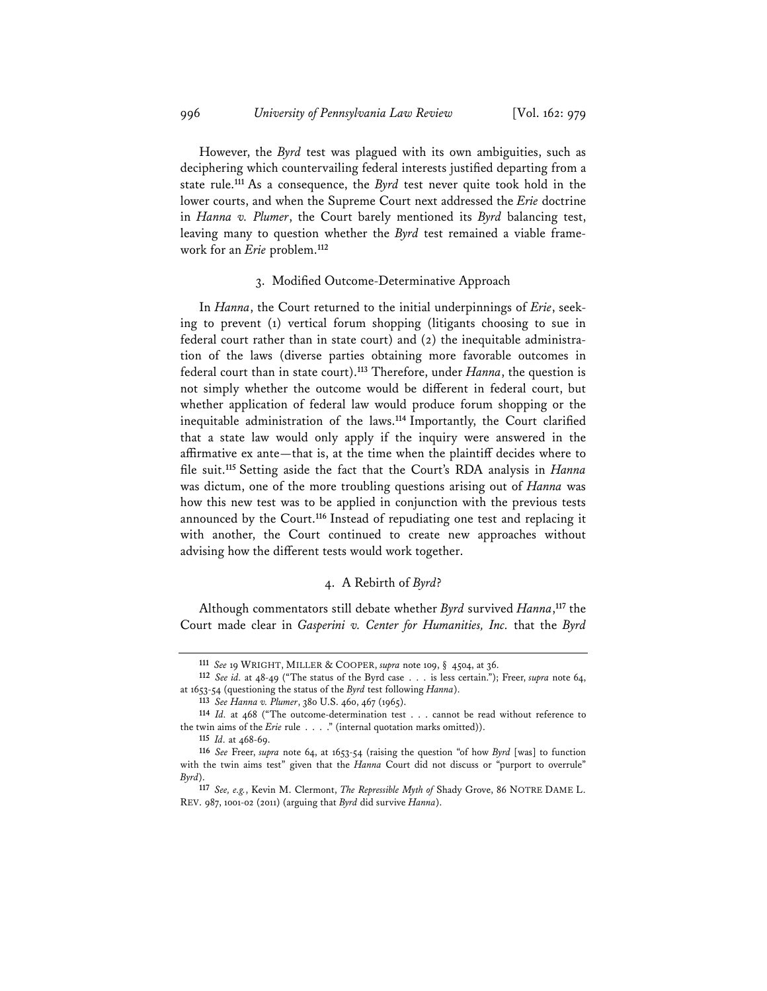However, the *Byrd* test was plagued with its own ambiguities, such as deciphering which countervailing federal interests justified departing from a state rule.**<sup>111</sup>** As a consequence, the *Byrd* test never quite took hold in the lower courts, and when the Supreme Court next addressed the *Erie* doctrine in *Hanna v. Plumer*, the Court barely mentioned its *Byrd* balancing test, leaving many to question whether the *Byrd* test remained a viable framework for an *Erie* problem.**<sup>112</sup>**

#### 3. Modified Outcome-Determinative Approach

In *Hanna*, the Court returned to the initial underpinnings of *Erie*, seeking to prevent (1) vertical forum shopping (litigants choosing to sue in federal court rather than in state court) and (2) the inequitable administration of the laws (diverse parties obtaining more favorable outcomes in federal court than in state court).**<sup>113</sup>** Therefore, under *Hanna*, the question is not simply whether the outcome would be different in federal court, but whether application of federal law would produce forum shopping or the inequitable administration of the laws.**<sup>114</sup>** Importantly, the Court clarified that a state law would only apply if the inquiry were answered in the affirmative ex ante—that is, at the time when the plaintiff decides where to file suit.**<sup>115</sup>** Setting aside the fact that the Court's RDA analysis in *Hanna* was dictum, one of the more troubling questions arising out of *Hanna* was how this new test was to be applied in conjunction with the previous tests announced by the Court.**<sup>116</sup>** Instead of repudiating one test and replacing it with another, the Court continued to create new approaches without advising how the different tests would work together.

#### 4. A Rebirth of *Byrd*?

Although commentators still debate whether *Byrd* survived *Hanna*, **<sup>117</sup>** the Court made clear in *Gasperini v. Center for Humanities, Inc.* that the *Byrd*

**<sup>111</sup>** *See* 19 WRIGHT, MILLER & COOPER, *supra* note 109, § 4504, at 36.

**<sup>112</sup>** *See id.* at 48-49 ("The status of the Byrd case . . . is less certain."); Freer, *supra* note 64, at 1653-54 (questioning the status of the *Byrd* test following *Hanna*).

**<sup>113</sup>** *See Hanna v. Plumer*, 380 U.S. 460, 467 (1965). **<sup>114</sup>** *Id.* at 468 ("The outcome-determination test . . . cannot be read without reference to the twin aims of the *Erie* rule . . . ." (internal quotation marks omitted)).

**<sup>115</sup>** *Id.* at 468-69.

**<sup>116</sup>** *See* Freer, *supra* note 64, at 1653-54 (raising the question "of how *Byrd* [was] to function with the twin aims test" given that the *Hanna* Court did not discuss or "purport to overrule" *Byrd*).

**<sup>117</sup>** *See, e.g.*, Kevin M. Clermont, *The Repressible Myth of* Shady Grove, 86 NOTRE DAME L. REV. 987, 1001-02 (2011) (arguing that *Byrd* did survive *Hanna*).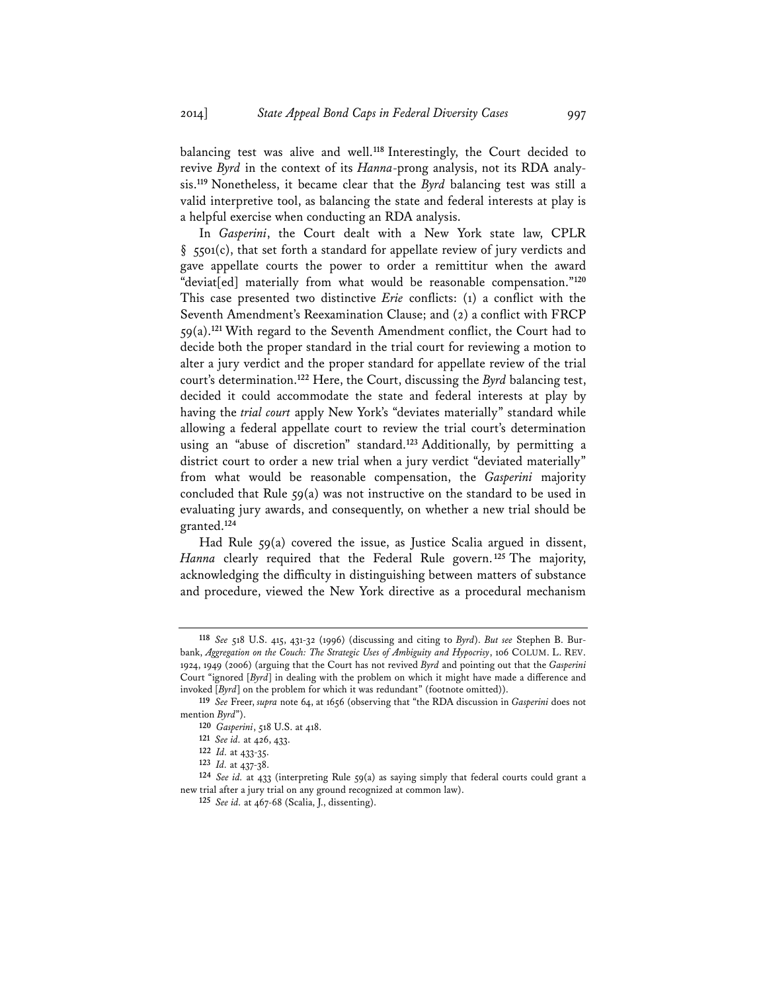balancing test was alive and well.**<sup>118</sup>** Interestingly, the Court decided to revive *Byrd* in the context of its *Hanna*-prong analysis, not its RDA analysis.**<sup>119</sup>** Nonetheless, it became clear that the *Byrd* balancing test was still a valid interpretive tool, as balancing the state and federal interests at play is a helpful exercise when conducting an RDA analysis.

In *Gasperini*, the Court dealt with a New York state law, CPLR  $\S$  5501(c), that set forth a standard for appellate review of jury verdicts and gave appellate courts the power to order a remittitur when the award "deviat[ed] materially from what would be reasonable compensation."**<sup>120</sup>** This case presented two distinctive *Erie* conflicts: (1) a conflict with the Seventh Amendment's Reexamination Clause; and (2) a conflict with FRCP 59(a).**<sup>121</sup>** With regard to the Seventh Amendment conflict, the Court had to decide both the proper standard in the trial court for reviewing a motion to alter a jury verdict and the proper standard for appellate review of the trial court's determination.**<sup>122</sup>** Here, the Court, discussing the *Byrd* balancing test, decided it could accommodate the state and federal interests at play by having the *trial court* apply New York's "deviates materially" standard while allowing a federal appellate court to review the trial court's determination using an "abuse of discretion" standard.**<sup>123</sup>** Additionally, by permitting a district court to order a new trial when a jury verdict "deviated materially" from what would be reasonable compensation, the *Gasperini* majority concluded that Rule  $59(a)$  was not instructive on the standard to be used in evaluating jury awards, and consequently, on whether a new trial should be granted.**<sup>124</sup>**

Had Rule 59(a) covered the issue, as Justice Scalia argued in dissent, *Hanna* clearly required that the Federal Rule govern.**<sup>125</sup>** The majority, acknowledging the difficulty in distinguishing between matters of substance and procedure, viewed the New York directive as a procedural mechanism

**<sup>118</sup>** *See* 518 U.S. 415, 431-32 (1996) (discussing and citing to *Byrd*). *But see* Stephen B. Burbank, *Aggregation on the Couch: The Strategic Uses of Ambiguity and Hypocrisy*, 106 COLUM. L. REV. 1924, 1949 (2006) (arguing that the Court has not revived *Byrd* and pointing out that the *Gasperini* Court "ignored [*Byrd*] in dealing with the problem on which it might have made a difference and invoked [*Byrd*] on the problem for which it was redundant" (footnote omitted)).

**<sup>119</sup>** *See* Freer, *supra* note 64, at 1656 (observing that "the RDA discussion in *Gasperini* does not mention *Byrd*").

**<sup>120</sup>** *Gasperini*, 518 U.S. at 418.

**<sup>121</sup>** *See id.* at 426, 433.

**<sup>122</sup>** *Id.* at 433-35.

**<sup>123</sup>** *Id.* at 437-38.

**<sup>124</sup>** *See id.* at 433 (interpreting Rule 59(a) as saying simply that federal courts could grant a new trial after a jury trial on any ground recognized at common law).

**<sup>125</sup>** *See id.* at 467-68 (Scalia, J., dissenting).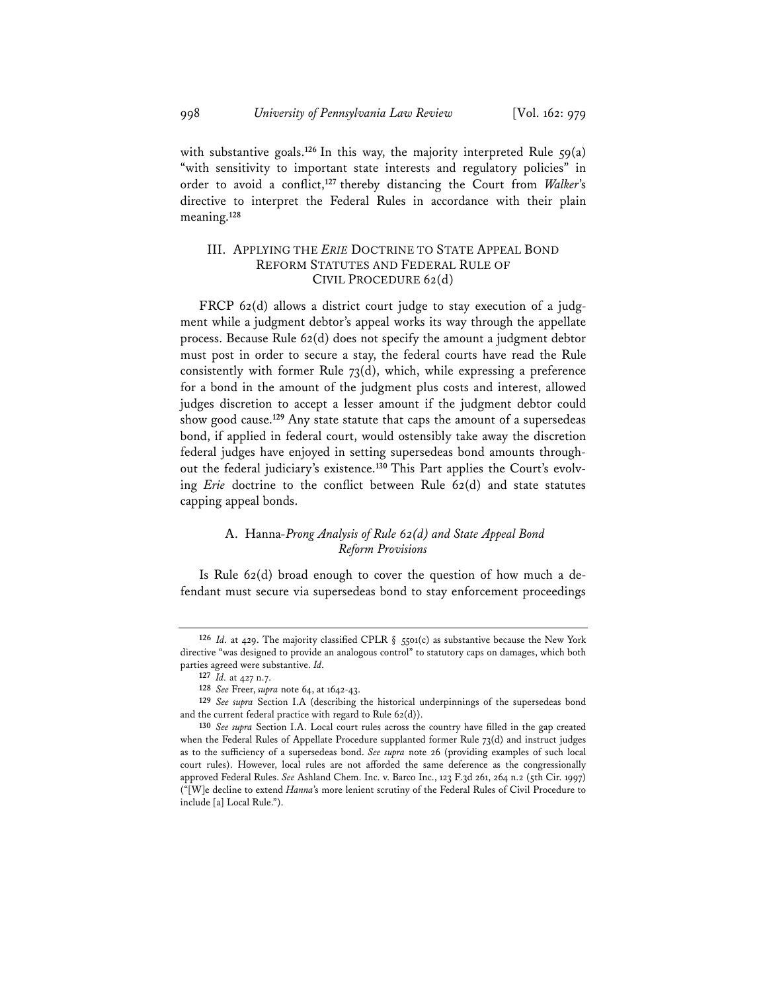with substantive goals.<sup>126</sup> In this way, the majority interpreted Rule  $\zeta_9(a)$ "with sensitivity to important state interests and regulatory policies" in order to avoid a conflict,**<sup>127</sup>** thereby distancing the Court from *Walker*'s directive to interpret the Federal Rules in accordance with their plain meaning.**<sup>128</sup>**

# III. APPLYING THE *ERIE* DOCTRINE TO STATE APPEAL BOND REFORM STATUTES AND FEDERAL RULE OF CIVIL PROCEDURE 62(d)

FRCP 62(d) allows a district court judge to stay execution of a judgment while a judgment debtor's appeal works its way through the appellate process. Because Rule 62(d) does not specify the amount a judgment debtor must post in order to secure a stay, the federal courts have read the Rule consistently with former Rule 73(d), which, while expressing a preference for a bond in the amount of the judgment plus costs and interest, allowed judges discretion to accept a lesser amount if the judgment debtor could show good cause.**<sup>129</sup>** Any state statute that caps the amount of a supersedeas bond, if applied in federal court, would ostensibly take away the discretion federal judges have enjoyed in setting supersedeas bond amounts throughout the federal judiciary's existence.**<sup>130</sup>** This Part applies the Court's evolving *Erie* doctrine to the conflict between Rule 62(d) and state statutes capping appeal bonds.

# A. Hanna*-Prong Analysis of Rule 62(d) and State Appeal Bond Reform Provisions*

Is Rule 62(d) broad enough to cover the question of how much a defendant must secure via supersedeas bond to stay enforcement proceedings

**<sup>126</sup>** *Id.* at 429. The majority classified CPLR § 5501(c) as substantive because the New York directive "was designed to provide an analogous control" to statutory caps on damages, which both parties agreed were substantive. *Id.*

**<sup>127</sup>** *Id.* at 427 n.7.

**<sup>128</sup>** *See* Freer, *supra* note 64, at 1642-43.

**<sup>129</sup>** *See supra* Section I.A (describing the historical underpinnings of the supersedeas bond and the current federal practice with regard to Rule 62(d)).

**<sup>130</sup>** *See supra* Section I.A. Local court rules across the country have filled in the gap created when the Federal Rules of Appellate Procedure supplanted former Rule 73(d) and instruct judges as to the sufficiency of a supersedeas bond. *See supra* note 26 (providing examples of such local court rules). However, local rules are not afforded the same deference as the congressionally approved Federal Rules. *See* Ashland Chem. Inc. v. Barco Inc., 123 F.3d 261, 264 n.2 (5th Cir. 1997) ("[W]e decline to extend *Hanna*'s more lenient scrutiny of the Federal Rules of Civil Procedure to include [a] Local Rule.").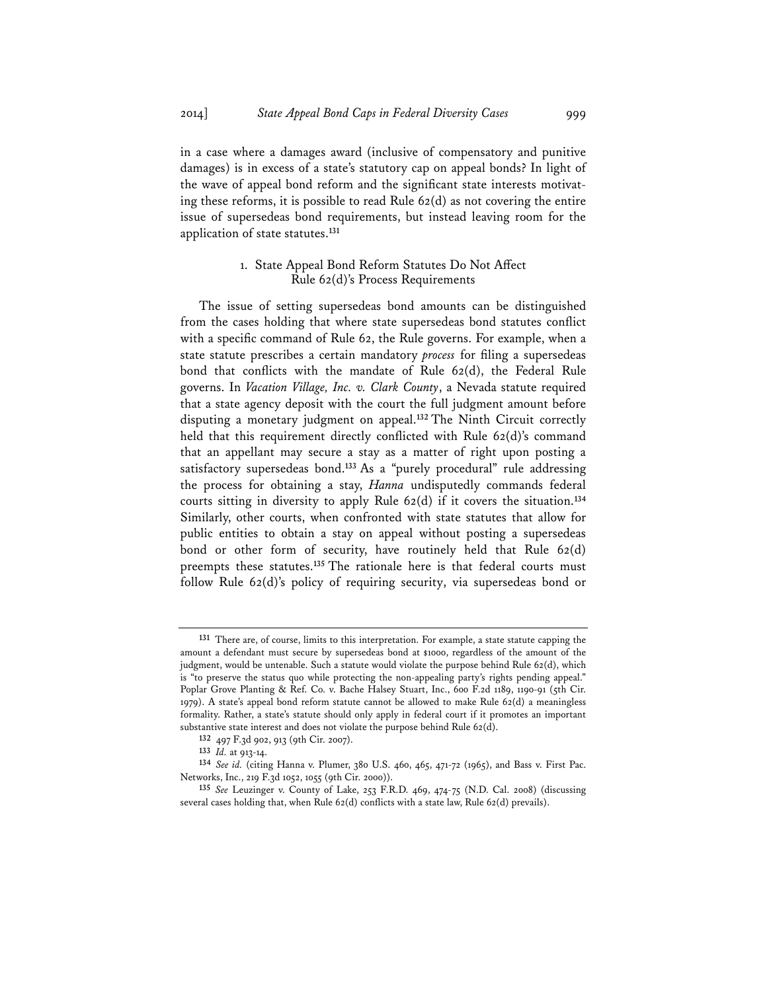in a case where a damages award (inclusive of compensatory and punitive damages) is in excess of a state's statutory cap on appeal bonds? In light of the wave of appeal bond reform and the significant state interests motivating these reforms, it is possible to read Rule 62(d) as not covering the entire issue of supersedeas bond requirements, but instead leaving room for the application of state statutes.**<sup>131</sup>**

# 1. State Appeal Bond Reform Statutes Do Not Affect Rule 62(d)'s Process Requirements

The issue of setting supersedeas bond amounts can be distinguished from the cases holding that where state supersedeas bond statutes conflict with a specific command of Rule 62, the Rule governs. For example, when a state statute prescribes a certain mandatory *process* for filing a supersedeas bond that conflicts with the mandate of Rule 62(d), the Federal Rule governs. In *Vacation Village, Inc. v. Clark County*, a Nevada statute required that a state agency deposit with the court the full judgment amount before disputing a monetary judgment on appeal.**<sup>132</sup>** The Ninth Circuit correctly held that this requirement directly conflicted with Rule 62(d)'s command that an appellant may secure a stay as a matter of right upon posting a satisfactory supersedeas bond.**<sup>133</sup>** As a "purely procedural" rule addressing the process for obtaining a stay, *Hanna* undisputedly commands federal courts sitting in diversity to apply Rule 62(d) if it covers the situation.**<sup>134</sup>** Similarly, other courts, when confronted with state statutes that allow for public entities to obtain a stay on appeal without posting a supersedeas bond or other form of security, have routinely held that Rule 62(d) preempts these statutes.**<sup>135</sup>** The rationale here is that federal courts must follow Rule 62(d)'s policy of requiring security, via supersedeas bond or

**<sup>131</sup>** There are, of course, limits to this interpretation. For example, a state statute capping the amount a defendant must secure by supersedeas bond at \$1000, regardless of the amount of the judgment, would be untenable. Such a statute would violate the purpose behind Rule 62(d), which is "to preserve the status quo while protecting the non-appealing party's rights pending appeal." Poplar Grove Planting & Ref. Co. v. Bache Halsey Stuart, Inc., 600 F.2d 1189, 1190-91 (5th Cir. 1979). A state's appeal bond reform statute cannot be allowed to make Rule 62(d) a meaningless formality. Rather, a state's statute should only apply in federal court if it promotes an important substantive state interest and does not violate the purpose behind Rule 62(d).

**<sup>132</sup>** 497 F.3d 902, 913 (9th Cir. 2007).

**<sup>133</sup>** *Id.* at 913-14.

**<sup>134</sup>** *See id.* (citing Hanna v. Plumer, 380 U.S. 460, 465, 471-72 (1965), and Bass v. First Pac. Networks, Inc., 219 F.3d 1052, 1055 (9th Cir. 2000)).

**<sup>135</sup>** *See* Leuzinger v. County of Lake, 253 F.R.D. 469, 474-75 (N.D. Cal. 2008) (discussing several cases holding that, when Rule 62(d) conflicts with a state law, Rule 62(d) prevails).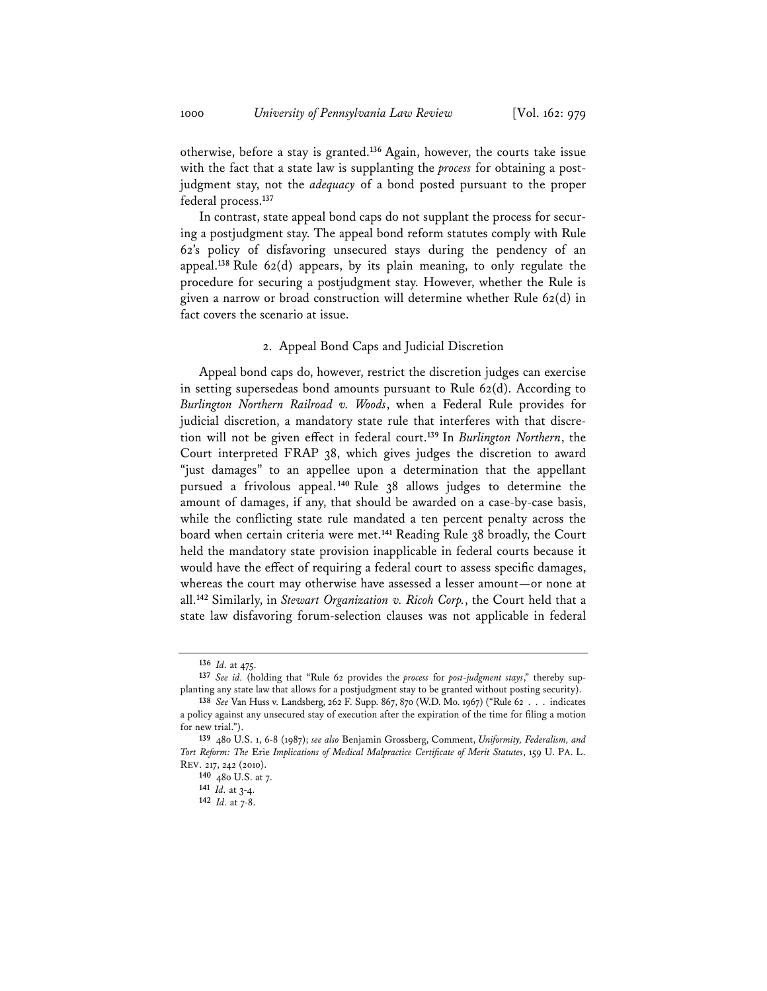otherwise, before a stay is granted.**<sup>136</sup>** Again, however, the courts take issue with the fact that a state law is supplanting the *process* for obtaining a postjudgment stay, not the *adequacy* of a bond posted pursuant to the proper federal process.**<sup>137</sup>**

In contrast, state appeal bond caps do not supplant the process for securing a postjudgment stay. The appeal bond reform statutes comply with Rule 62's policy of disfavoring unsecured stays during the pendency of an appeal.**<sup>138</sup>** Rule 62(d) appears, by its plain meaning, to only regulate the procedure for securing a postjudgment stay. However, whether the Rule is given a narrow or broad construction will determine whether Rule 62(d) in fact covers the scenario at issue.

#### 2. Appeal Bond Caps and Judicial Discretion

Appeal bond caps do, however, restrict the discretion judges can exercise in setting supersedeas bond amounts pursuant to Rule 62(d). According to *Burlington Northern Railroad v. Woods*, when a Federal Rule provides for judicial discretion, a mandatory state rule that interferes with that discretion will not be given effect in federal court.**<sup>139</sup>** In *Burlington Northern*, the Court interpreted FRAP 38, which gives judges the discretion to award "just damages" to an appellee upon a determination that the appellant pursued a frivolous appeal.**<sup>140</sup>** Rule 38 allows judges to determine the amount of damages, if any, that should be awarded on a case-by-case basis, while the conflicting state rule mandated a ten percent penalty across the board when certain criteria were met.**<sup>141</sup>** Reading Rule 38 broadly, the Court held the mandatory state provision inapplicable in federal courts because it would have the effect of requiring a federal court to assess specific damages, whereas the court may otherwise have assessed a lesser amount—or none at all.**<sup>142</sup>** Similarly, in *Stewart Organization v. Ricoh Corp.*, the Court held that a state law disfavoring forum-selection clauses was not applicable in federal

**<sup>136</sup>** *Id.* at 475.

**<sup>137</sup>** *See id.* (holding that "Rule 62 provides the *process* for *post-judgment stays*," thereby supplanting any state law that allows for a postjudgment stay to be granted without posting security).

**<sup>138</sup>** *See* Van Huss v. Landsberg, 262 F. Supp. 867, 870 (W.D. Mo. 1967) ("Rule 62 . . . indicates a policy against any unsecured stay of execution after the expiration of the time for filing a motion for new trial.").

**<sup>139</sup>** 480 U.S. 1, 6-8 (1987); *see also* Benjamin Grossberg, Comment, *Uniformity, Federalism, and Tort Reform: The* Erie *Implications of Medical Malpractice Certificate of Merit Statutes*, 159 U. PA. L. REV. 217, 242 (2010).

**<sup>140</sup>** 480 U.S. at 7. **<sup>141</sup>** *Id.* at 3-4.

**<sup>142</sup>** *Id.* at 7-8.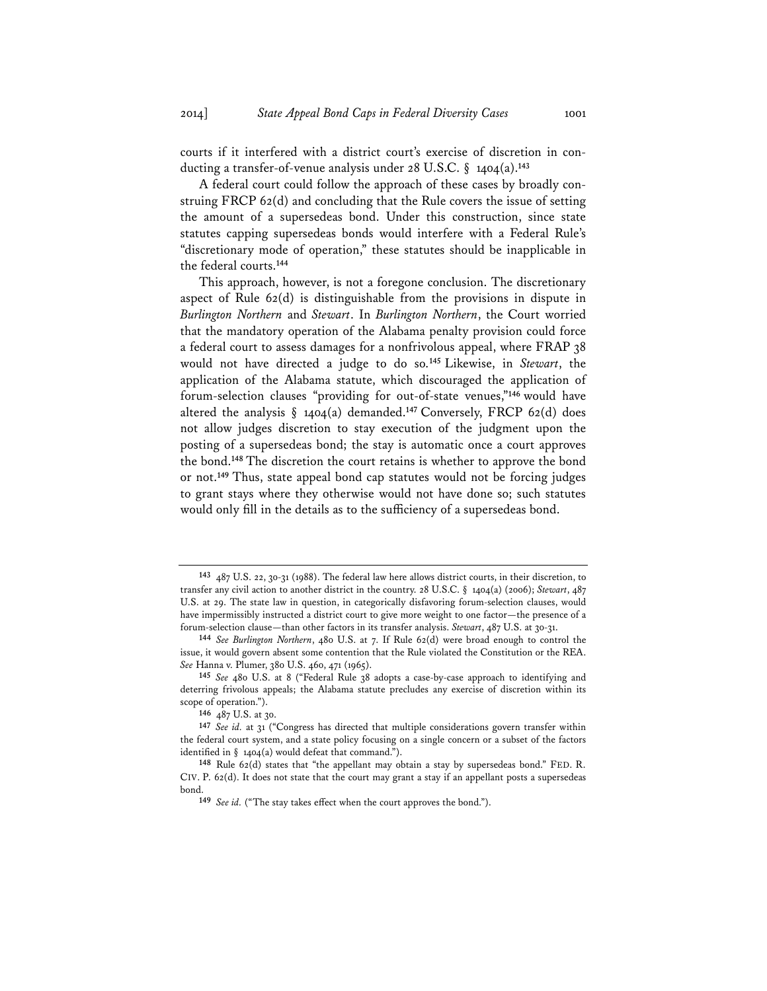courts if it interfered with a district court's exercise of discretion in conducting a transfer-of-venue analysis under 28 U.S.C. § 1404(a).**<sup>143</sup>**

A federal court could follow the approach of these cases by broadly construing FRCP 62(d) and concluding that the Rule covers the issue of setting the amount of a supersedeas bond. Under this construction, since state statutes capping supersedeas bonds would interfere with a Federal Rule's "discretionary mode of operation," these statutes should be inapplicable in the federal courts.**<sup>144</sup>**

This approach, however, is not a foregone conclusion. The discretionary aspect of Rule 62(d) is distinguishable from the provisions in dispute in *Burlington Northern* and *Stewart*. In *Burlington Northern*, the Court worried that the mandatory operation of the Alabama penalty provision could force a federal court to assess damages for a nonfrivolous appeal, where FRAP 38 would not have directed a judge to do so.**<sup>145</sup>** Likewise, in *Stewart*, the application of the Alabama statute, which discouraged the application of forum-selection clauses "providing for out-of-state venues,"**<sup>146</sup>** would have altered the analysis § 1404(a) demanded.**<sup>147</sup>** Conversely, FRCP 62(d) does not allow judges discretion to stay execution of the judgment upon the posting of a supersedeas bond; the stay is automatic once a court approves the bond.**<sup>148</sup>** The discretion the court retains is whether to approve the bond or not.**<sup>149</sup>** Thus, state appeal bond cap statutes would not be forcing judges to grant stays where they otherwise would not have done so; such statutes would only fill in the details as to the sufficiency of a supersedeas bond.

**<sup>143</sup>** 487 U.S. 22, 30-31 (1988). The federal law here allows district courts, in their discretion, to transfer any civil action to another district in the country. 28 U.S.C. § 1404(a) (2006); *Stewart*, 487 U.S. at 29. The state law in question, in categorically disfavoring forum-selection clauses, would have impermissibly instructed a district court to give more weight to one factor—the presence of a forum-selection clause—than other factors in its transfer analysis. *Stewart*, 487 U.S. at 30-31. **<sup>144</sup>** *See Burlington Northern*, 480 U.S. at 7. If Rule 62(d) were broad enough to control the

issue, it would govern absent some contention that the Rule violated the Constitution or the REA. *See* Hanna v. Plumer, 380 U.S. 460, 471 (1965).

**<sup>145</sup>** *See* 480 U.S. at 8 ("Federal Rule 38 adopts a case-by-case approach to identifying and deterring frivolous appeals; the Alabama statute precludes any exercise of discretion within its scope of operation.").

**<sup>146</sup>** 487 U.S. at 30.

**<sup>147</sup>** *See id.* at 31 ("Congress has directed that multiple considerations govern transfer within the federal court system, and a state policy focusing on a single concern or a subset of the factors identified in  $\S$  1404(a) would defeat that command.").

**<sup>148</sup>** Rule 62(d) states that "the appellant may obtain a stay by supersedeas bond." FED. R. CIV. P. 62(d). It does not state that the court may grant a stay if an appellant posts a supersedeas bond.

**<sup>149</sup>** *See id.* ("The stay takes effect when the court approves the bond.").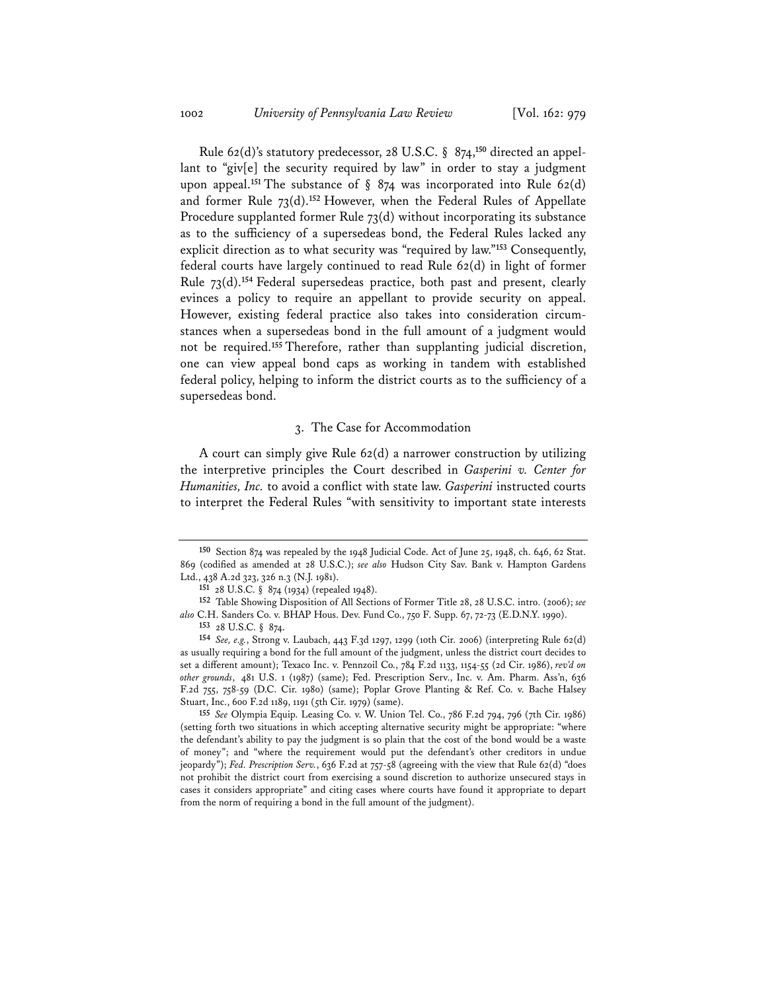Rule 62(d)'s statutory predecessor, 28 U.S.C. § 874,**<sup>150</sup>** directed an appellant to "giv[e] the security required by law" in order to stay a judgment upon appeal.<sup>151</sup> The substance of § 874 was incorporated into Rule 62(d) and former Rule 73(d).**<sup>152</sup>** However, when the Federal Rules of Appellate Procedure supplanted former Rule 73(d) without incorporating its substance as to the sufficiency of a supersedeas bond, the Federal Rules lacked any explicit direction as to what security was "required by law."**<sup>153</sup>** Consequently, federal courts have largely continued to read Rule 62(d) in light of former Rule 73(d).**<sup>154</sup>** Federal supersedeas practice, both past and present, clearly evinces a policy to require an appellant to provide security on appeal. However, existing federal practice also takes into consideration circumstances when a supersedeas bond in the full amount of a judgment would not be required.**<sup>155</sup>** Therefore, rather than supplanting judicial discretion, one can view appeal bond caps as working in tandem with established federal policy, helping to inform the district courts as to the sufficiency of a supersedeas bond.

#### 3. The Case for Accommodation

A court can simply give Rule 62(d) a narrower construction by utilizing the interpretive principles the Court described in *Gasperini v. Center for Humanities, Inc.* to avoid a conflict with state law. *Gasperini* instructed courts to interpret the Federal Rules "with sensitivity to important state interests

**<sup>155</sup>** *See* Olympia Equip. Leasing Co. v. W. Union Tel. Co., 786 F.2d 794, 796 (7th Cir. 1986) (setting forth two situations in which accepting alternative security might be appropriate: "where the defendant's ability to pay the judgment is so plain that the cost of the bond would be a waste of money"; and "where the requirement would put the defendant's other creditors in undue jeopardy"); *Fed. Prescription Serv.*, 636 F.2d at 757-58 (agreeing with the view that Rule 62(d) "does not prohibit the district court from exercising a sound discretion to authorize unsecured stays in cases it considers appropriate" and citing cases where courts have found it appropriate to depart from the norm of requiring a bond in the full amount of the judgment).

**<sup>150</sup>** Section 874 was repealed by the 1948 Judicial Code. Act of June 25, 1948, ch. 646, 62 Stat. 869 (codified as amended at 28 U.S.C.); *see also* Hudson City Sav. Bank v. Hampton Gardens Ltd., 438 A.2d 323, 326 n.3 (N.J. 1981).

**<sup>151</sup>** 28 U.S.C. § 874 (1934) (repealed 1948).

**<sup>152</sup>** Table Showing Disposition of All Sections of Former Title 28, 28 U.S.C. intro. (2006); *see also* C.H. Sanders Co. v. BHAP Hous. Dev. Fund Co., 750 F. Supp. 67, 72-73 (E.D.N.Y. 1990).

**<sup>153</sup>** 28 U.S.C. § 874.

**<sup>154</sup>** *See, e.g.*, Strong v. Laubach, 443 F.3d 1297, 1299 (10th Cir. 2006) (interpreting Rule 62(d) as usually requiring a bond for the full amount of the judgment, unless the district court decides to set a different amount); Texaco Inc. v. Pennzoil Co., 784 F.2d 1133, 1154-55 (2d Cir. 1986), *rev'd on other grounds*, 481 U.S. 1 (1987) (same); Fed. Prescription Serv., Inc. v. Am. Pharm. Ass'n, 636 F.2d 755, 758-59 (D.C. Cir. 1980) (same); Poplar Grove Planting & Ref. Co. v. Bache Halsey Stuart, Inc., 600 F.2d 1189, 1191 (5th Cir. 1979) (same).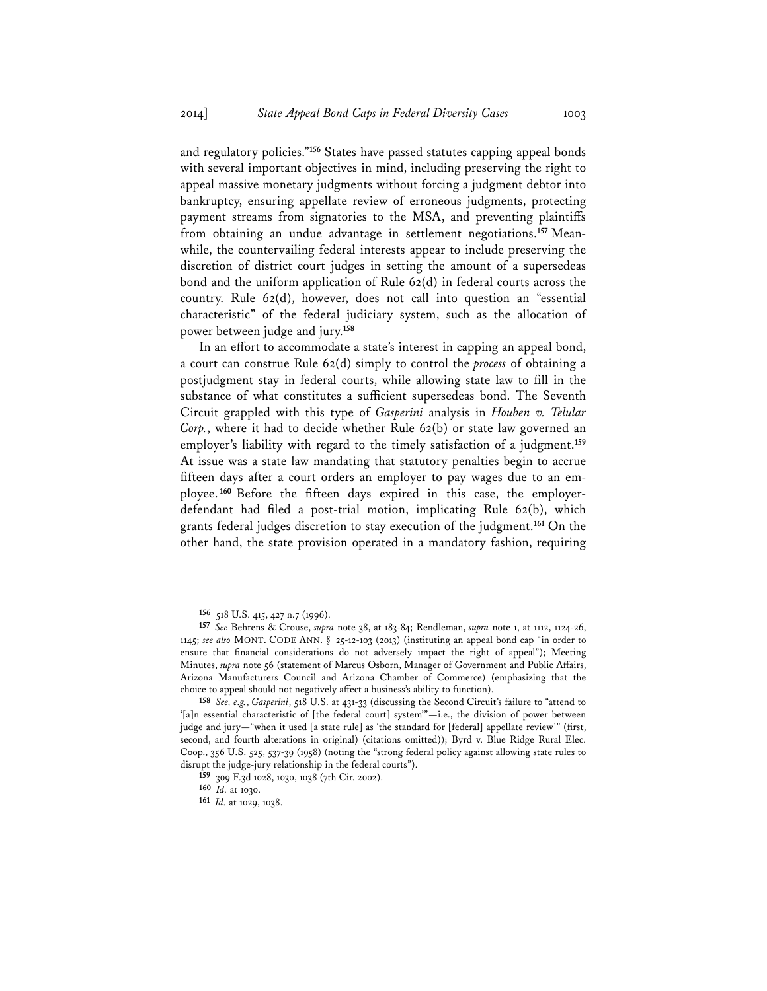and regulatory policies."**<sup>156</sup>** States have passed statutes capping appeal bonds with several important objectives in mind, including preserving the right to appeal massive monetary judgments without forcing a judgment debtor into bankruptcy, ensuring appellate review of erroneous judgments, protecting payment streams from signatories to the MSA, and preventing plaintiffs from obtaining an undue advantage in settlement negotiations.**<sup>157</sup>** Meanwhile, the countervailing federal interests appear to include preserving the discretion of district court judges in setting the amount of a supersedeas bond and the uniform application of Rule 62(d) in federal courts across the country. Rule 62(d), however, does not call into question an "essential characteristic" of the federal judiciary system, such as the allocation of power between judge and jury.**<sup>158</sup>**

In an effort to accommodate a state's interest in capping an appeal bond, a court can construe Rule 62(d) simply to control the *process* of obtaining a postjudgment stay in federal courts, while allowing state law to fill in the substance of what constitutes a sufficient supersedeas bond. The Seventh Circuit grappled with this type of *Gasperini* analysis in *Houben v. Telular Corp.*, where it had to decide whether Rule 62(b) or state law governed an employer's liability with regard to the timely satisfaction of a judgment.**<sup>159</sup>** At issue was a state law mandating that statutory penalties begin to accrue fifteen days after a court orders an employer to pay wages due to an employee.**<sup>160</sup>** Before the fifteen days expired in this case, the employerdefendant had filed a post-trial motion, implicating Rule 62(b), which grants federal judges discretion to stay execution of the judgment.**<sup>161</sup>** On the other hand, the state provision operated in a mandatory fashion, requiring

**<sup>156</sup>** 518 U.S. 415, 427 n.7 (1996).

**<sup>157</sup>** *See* Behrens & Crouse, *supra* note 38, at 183-84; Rendleman, *supra* note 1, at 1112, 1124-26, 1145; *see also* MONT. CODE ANN. § 25-12-103 (2013) (instituting an appeal bond cap "in order to ensure that financial considerations do not adversely impact the right of appeal"); Meeting Minutes, *supra* note 56 (statement of Marcus Osborn, Manager of Government and Public Affairs, Arizona Manufacturers Council and Arizona Chamber of Commerce) (emphasizing that the choice to appeal should not negatively affect a business's ability to function).

**<sup>158</sup>** *See, e.g.*, *Gasperini*, 518 U.S. at 431-33 (discussing the Second Circuit's failure to "attend to '[a]n essential characteristic of [the federal court] system'"—i.e., the division of power between judge and jury—"when it used [a state rule] as 'the standard for [federal] appellate review'" (first, second, and fourth alterations in original) (citations omitted)); Byrd v. Blue Ridge Rural Elec. Coop., 356 U.S. 525, 537-39 (1958) (noting the "strong federal policy against allowing state rules to disrupt the judge-jury relationship in the federal courts").

**<sup>159</sup>** 309 F.3d 1028, 1030, 1038 (7th Cir. 2002).

**<sup>160</sup>** *Id.* at 1030.

**<sup>161</sup>** *Id.* at 1029, 1038.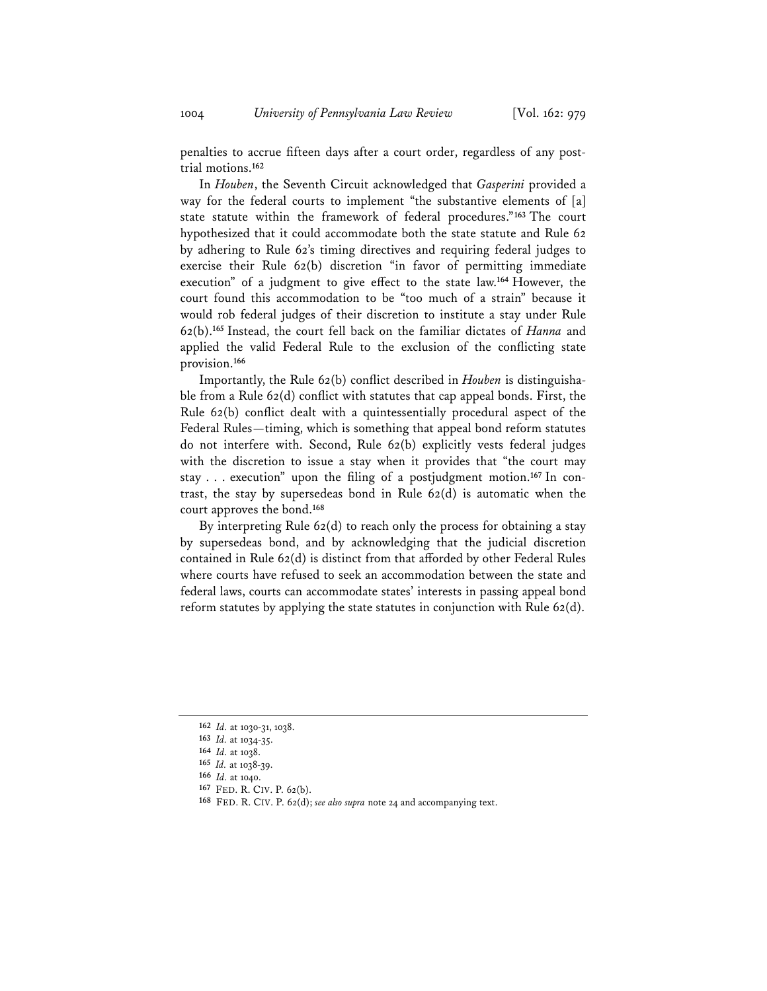penalties to accrue fifteen days after a court order, regardless of any posttrial motions.**<sup>162</sup>**

In *Houben*, the Seventh Circuit acknowledged that *Gasperini* provided a way for the federal courts to implement "the substantive elements of [a] state statute within the framework of federal procedures."**<sup>163</sup>** The court hypothesized that it could accommodate both the state statute and Rule 62 by adhering to Rule 62's timing directives and requiring federal judges to exercise their Rule 62(b) discretion "in favor of permitting immediate execution" of a judgment to give effect to the state law.**<sup>164</sup>** However, the court found this accommodation to be "too much of a strain" because it would rob federal judges of their discretion to institute a stay under Rule 62(b).**<sup>165</sup>** Instead, the court fell back on the familiar dictates of *Hanna* and applied the valid Federal Rule to the exclusion of the conflicting state provision.**<sup>166</sup>**

Importantly, the Rule 62(b) conflict described in *Houben* is distinguishable from a Rule  $62(d)$  conflict with statutes that cap appeal bonds. First, the Rule 62(b) conflict dealt with a quintessentially procedural aspect of the Federal Rules—timing, which is something that appeal bond reform statutes do not interfere with. Second, Rule 62(b) explicitly vests federal judges with the discretion to issue a stay when it provides that "the court may stay . . . execution" upon the filing of a postjudgment motion.**<sup>167</sup>** In contrast, the stay by supersedeas bond in Rule  $62(d)$  is automatic when the court approves the bond.**<sup>168</sup>**

By interpreting Rule 62(d) to reach only the process for obtaining a stay by supersedeas bond, and by acknowledging that the judicial discretion contained in Rule 62(d) is distinct from that afforded by other Federal Rules where courts have refused to seek an accommodation between the state and federal laws, courts can accommodate states' interests in passing appeal bond reform statutes by applying the state statutes in conjunction with Rule 62(d).

**<sup>162</sup>** *Id.* at 1030-31, 1038.

**<sup>163</sup>** *Id.* at 1034-35.

**<sup>164</sup>** *Id.* at 1038.

**<sup>165</sup>** *Id.* at 1038-39.

**<sup>166</sup>** *Id.* at 1040.

**<sup>167</sup>** FED. R. CIV. P. 62(b).

**<sup>168</sup>** FED. R. CIV. P. 62(d); *see also supra* note 24 and accompanying text.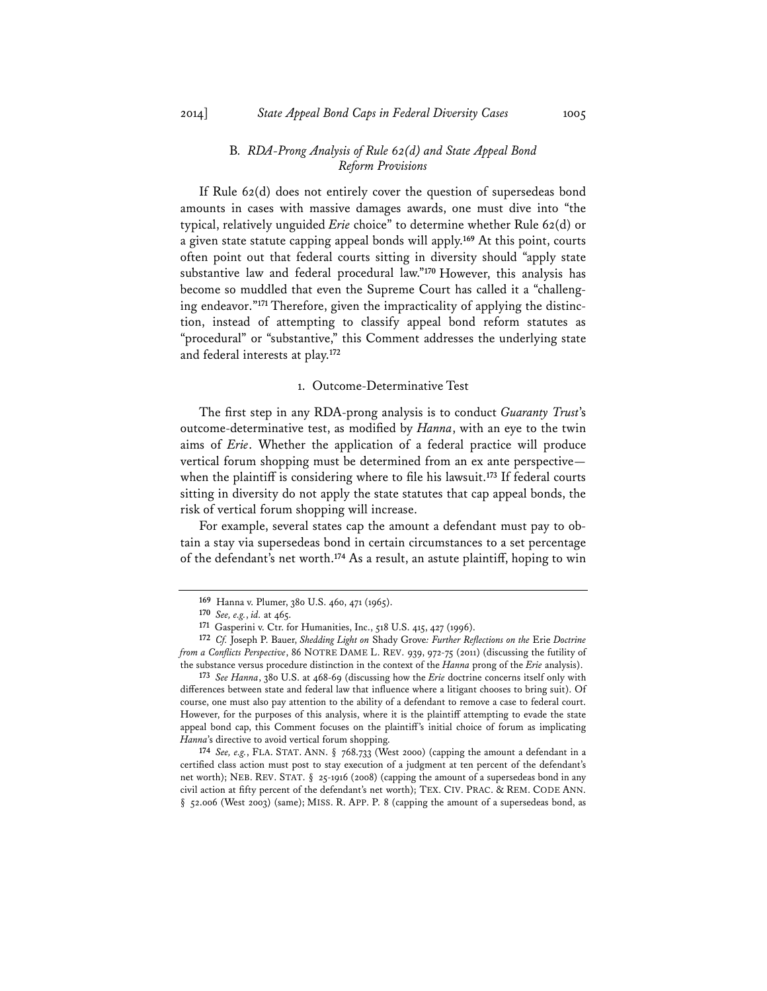# B*. RDA-Prong Analysis of Rule 62(d) and State Appeal Bond Reform Provisions*

If Rule 62(d) does not entirely cover the question of supersedeas bond amounts in cases with massive damages awards, one must dive into "the typical, relatively unguided *Erie* choice" to determine whether Rule 62(d) or a given state statute capping appeal bonds will apply.**<sup>169</sup>** At this point, courts often point out that federal courts sitting in diversity should "apply state substantive law and federal procedural law."**<sup>170</sup>** However, this analysis has become so muddled that even the Supreme Court has called it a "challenging endeavor."**<sup>171</sup>** Therefore, given the impracticality of applying the distinction, instead of attempting to classify appeal bond reform statutes as "procedural" or "substantive," this Comment addresses the underlying state and federal interests at play.**<sup>172</sup>**

#### 1. Outcome-Determinative Test

The first step in any RDA-prong analysis is to conduct *Guaranty Trust*'s outcome-determinative test, as modified by *Hanna*, with an eye to the twin aims of *Erie*. Whether the application of a federal practice will produce vertical forum shopping must be determined from an ex ante perspective when the plaintiff is considering where to file his lawsuit.**<sup>173</sup>** If federal courts sitting in diversity do not apply the state statutes that cap appeal bonds, the risk of vertical forum shopping will increase.

For example, several states cap the amount a defendant must pay to obtain a stay via supersedeas bond in certain circumstances to a set percentage of the defendant's net worth.**<sup>174</sup>** As a result, an astute plaintiff, hoping to win

**<sup>173</sup>** *See Hanna*, 380 U.S. at 468-69 (discussing how the *Erie* doctrine concerns itself only with differences between state and federal law that influence where a litigant chooses to bring suit). Of course, one must also pay attention to the ability of a defendant to remove a case to federal court. However, for the purposes of this analysis, where it is the plaintiff attempting to evade the state appeal bond cap, this Comment focuses on the plaintiff's initial choice of forum as implicating *Hanna*'s directive to avoid vertical forum shopping.

**<sup>174</sup>** *See, e.g.*, FLA. STAT. ANN. § 768.733 (West 2000) (capping the amount a defendant in a certified class action must post to stay execution of a judgment at ten percent of the defendant's net worth); NEB. REV. STAT. § 25-1916 (2008) (capping the amount of a supersedeas bond in any civil action at fifty percent of the defendant's net worth); TEX. CIV. PRAC. & REM. CODE ANN. § 52.006 (West 2003) (same); MISS. R. APP. P. 8 (capping the amount of a supersedeas bond, as

**<sup>169</sup>** Hanna v. Plumer, 380 U.S. 460, 471 (1965).

**<sup>170</sup>** *See, e.g.*, *id.* at 465.

**<sup>171</sup>** Gasperini v. Ctr. for Humanities, Inc., 518 U.S. 415, 427 (1996).

**<sup>172</sup>** *Cf.* Joseph P. Bauer, *Shedding Light on* Shady Grove*: Further Reflections on the* Erie *Doctrine from a Conflicts Perspective*, 86 NOTRE DAME L. REV. 939, 972-75 (2011) (discussing the futility of the substance versus procedure distinction in the context of the *Hanna* prong of the *Erie* analysis).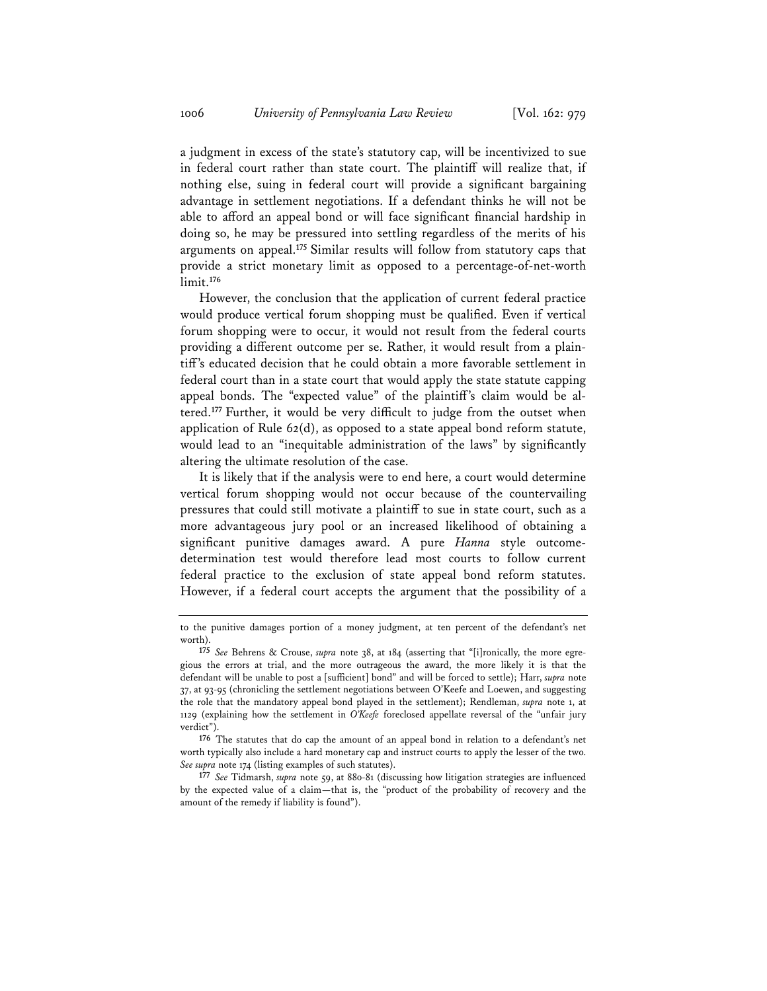a judgment in excess of the state's statutory cap, will be incentivized to sue in federal court rather than state court. The plaintiff will realize that, if nothing else, suing in federal court will provide a significant bargaining advantage in settlement negotiations. If a defendant thinks he will not be able to afford an appeal bond or will face significant financial hardship in doing so, he may be pressured into settling regardless of the merits of his arguments on appeal.**<sup>175</sup>** Similar results will follow from statutory caps that provide a strict monetary limit as opposed to a percentage-of-net-worth limit.**<sup>176</sup>**

However, the conclusion that the application of current federal practice would produce vertical forum shopping must be qualified. Even if vertical forum shopping were to occur, it would not result from the federal courts providing a different outcome per se. Rather, it would result from a plaintiff's educated decision that he could obtain a more favorable settlement in federal court than in a state court that would apply the state statute capping appeal bonds. The "expected value" of the plaintiff's claim would be altered.**<sup>177</sup>** Further, it would be very difficult to judge from the outset when application of Rule 62(d), as opposed to a state appeal bond reform statute, would lead to an "inequitable administration of the laws" by significantly altering the ultimate resolution of the case.

It is likely that if the analysis were to end here, a court would determine vertical forum shopping would not occur because of the countervailing pressures that could still motivate a plaintiff to sue in state court, such as a more advantageous jury pool or an increased likelihood of obtaining a significant punitive damages award. A pure *Hanna* style outcomedetermination test would therefore lead most courts to follow current federal practice to the exclusion of state appeal bond reform statutes. However, if a federal court accepts the argument that the possibility of a

**<sup>176</sup>** The statutes that do cap the amount of an appeal bond in relation to a defendant's net worth typically also include a hard monetary cap and instruct courts to apply the lesser of the two. *See supra* note 174 (listing examples of such statutes).

**<sup>177</sup>** *See* Tidmarsh, *supra* note 59, at 880-81 (discussing how litigation strategies are influenced by the expected value of a claim—that is, the "product of the probability of recovery and the amount of the remedy if liability is found").

to the punitive damages portion of a money judgment, at ten percent of the defendant's net worth)

**<sup>175</sup>** *See* Behrens & Crouse, *supra* note 38, at 184 (asserting that "[i]ronically, the more egregious the errors at trial, and the more outrageous the award, the more likely it is that the defendant will be unable to post a [sufficient] bond" and will be forced to settle); Harr, *supra* note 37, at 93-95 (chronicling the settlement negotiations between O'Keefe and Loewen, and suggesting the role that the mandatory appeal bond played in the settlement); Rendleman, *supra* note 1, at 1129 (explaining how the settlement in *O'Keefe* foreclosed appellate reversal of the "unfair jury verdict").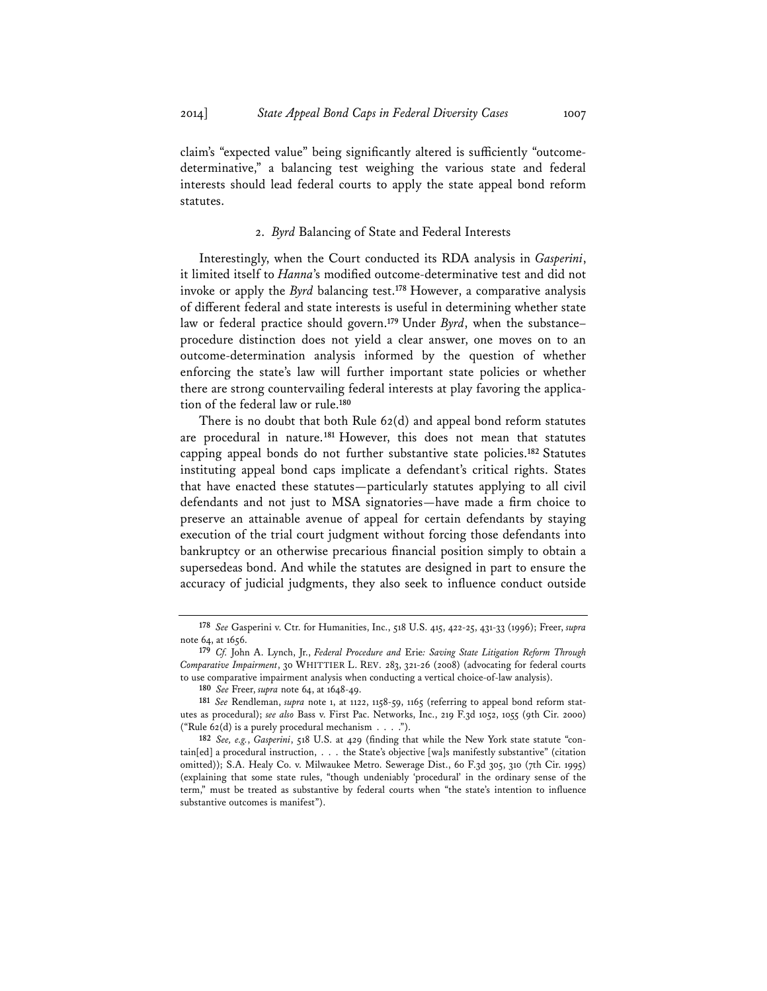claim's "expected value" being significantly altered is sufficiently "outcomedeterminative," a balancing test weighing the various state and federal interests should lead federal courts to apply the state appeal bond reform statutes.

#### 2. *Byrd* Balancing of State and Federal Interests

Interestingly, when the Court conducted its RDA analysis in *Gasperini*, it limited itself to *Hanna*'s modified outcome-determinative test and did not invoke or apply the *Byrd* balancing test.**<sup>178</sup>** However, a comparative analysis of different federal and state interests is useful in determining whether state law or federal practice should govern.**<sup>179</sup>** Under *Byrd*, when the substance– procedure distinction does not yield a clear answer, one moves on to an outcome-determination analysis informed by the question of whether enforcing the state's law will further important state policies or whether there are strong countervailing federal interests at play favoring the application of the federal law or rule.**<sup>180</sup>**

There is no doubt that both Rule 62(d) and appeal bond reform statutes are procedural in nature.**<sup>181</sup>** However, this does not mean that statutes capping appeal bonds do not further substantive state policies.**<sup>182</sup>** Statutes instituting appeal bond caps implicate a defendant's critical rights. States that have enacted these statutes—particularly statutes applying to all civil defendants and not just to MSA signatories—have made a firm choice to preserve an attainable avenue of appeal for certain defendants by staying execution of the trial court judgment without forcing those defendants into bankruptcy or an otherwise precarious financial position simply to obtain a supersedeas bond. And while the statutes are designed in part to ensure the accuracy of judicial judgments, they also seek to influence conduct outside

**<sup>178</sup>** *See* Gasperini v. Ctr. for Humanities, Inc., 518 U.S. 415, 422-25, 431-33 (1996); Freer, *supra* note 64, at 1656.

**<sup>179</sup>** *Cf.* John A. Lynch, Jr., *Federal Procedure and* Erie*: Saving State Litigation Reform Through Comparative Impairment*, 30 WHITTIER L. REV. 283, 321-26 (2008) (advocating for federal courts to use comparative impairment analysis when conducting a vertical choice-of-law analysis).

**<sup>180</sup>** *See* Freer, *supra* note 64, at 1648-49.

**<sup>181</sup>** *See* Rendleman, *supra* note 1, at 1122, 1158-59, 1165 (referring to appeal bond reform statutes as procedural); *see also* Bass v. First Pac. Networks, Inc., 219 F.3d 1052, 1055 (9th Cir. 2000) ("Rule 62(d) is a purely procedural mechanism . . . .").

**<sup>182</sup>** *See, e.g.*, *Gasperini*, 518 U.S. at 429 (finding that while the New York state statute "contain[ed] a procedural instruction, . . . the State's objective [wa]s manifestly substantive" (citation omitted)); S.A. Healy Co. v. Milwaukee Metro. Sewerage Dist., 60 F.3d 305, 310 (7th Cir. 1995) (explaining that some state rules, "though undeniably 'procedural' in the ordinary sense of the term," must be treated as substantive by federal courts when "the state's intention to influence substantive outcomes is manifest").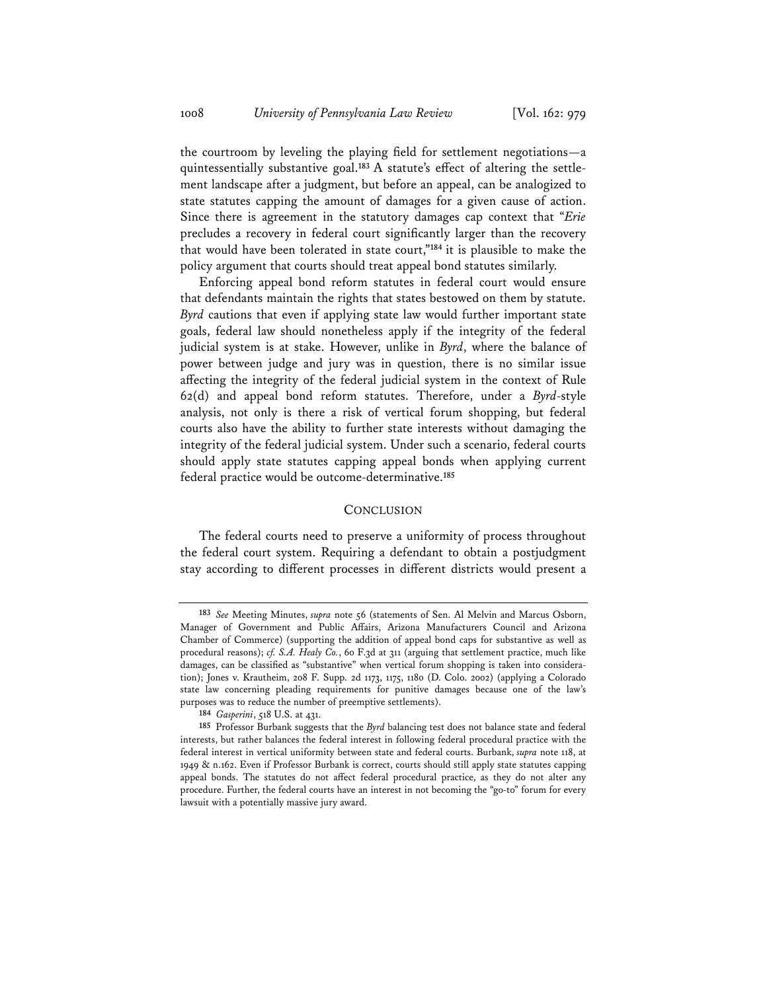the courtroom by leveling the playing field for settlement negotiations—a quintessentially substantive goal.**<sup>183</sup>** A statute's effect of altering the settlement landscape after a judgment, but before an appeal, can be analogized to state statutes capping the amount of damages for a given cause of action. Since there is agreement in the statutory damages cap context that "*Erie* precludes a recovery in federal court significantly larger than the recovery that would have been tolerated in state court,"**<sup>184</sup>** it is plausible to make the policy argument that courts should treat appeal bond statutes similarly.

Enforcing appeal bond reform statutes in federal court would ensure that defendants maintain the rights that states bestowed on them by statute. *Byrd* cautions that even if applying state law would further important state goals, federal law should nonetheless apply if the integrity of the federal judicial system is at stake. However, unlike in *Byrd*, where the balance of power between judge and jury was in question, there is no similar issue affecting the integrity of the federal judicial system in the context of Rule 62(d) and appeal bond reform statutes. Therefore, under a *Byrd*-style analysis, not only is there a risk of vertical forum shopping, but federal courts also have the ability to further state interests without damaging the integrity of the federal judicial system. Under such a scenario, federal courts should apply state statutes capping appeal bonds when applying current federal practice would be outcome-determinative.**<sup>185</sup>**

#### **CONCLUSION**

The federal courts need to preserve a uniformity of process throughout the federal court system. Requiring a defendant to obtain a postjudgment stay according to different processes in different districts would present a

**<sup>183</sup>** *See* Meeting Minutes, *supra* note 56 (statements of Sen. Al Melvin and Marcus Osborn, Manager of Government and Public Affairs, Arizona Manufacturers Council and Arizona Chamber of Commerce) (supporting the addition of appeal bond caps for substantive as well as procedural reasons); *cf. S.A. Healy Co.*, 60 F.3d at 311 (arguing that settlement practice, much like damages, can be classified as "substantive" when vertical forum shopping is taken into consideration); Jones v. Krautheim, 208 F. Supp. 2d 1173, 1175, 1180 (D. Colo. 2002) (applying a Colorado state law concerning pleading requirements for punitive damages because one of the law's purposes was to reduce the number of preemptive settlements).

**<sup>184</sup>** *Gasperini*, 518 U.S. at 431.

**<sup>185</sup>** Professor Burbank suggests that the *Byrd* balancing test does not balance state and federal interests, but rather balances the federal interest in following federal procedural practice with the federal interest in vertical uniformity between state and federal courts. Burbank, *supra* note 118, at 1949 & n.162. Even if Professor Burbank is correct, courts should still apply state statutes capping appeal bonds. The statutes do not affect federal procedural practice, as they do not alter any procedure. Further, the federal courts have an interest in not becoming the "go-to" forum for every lawsuit with a potentially massive jury award.